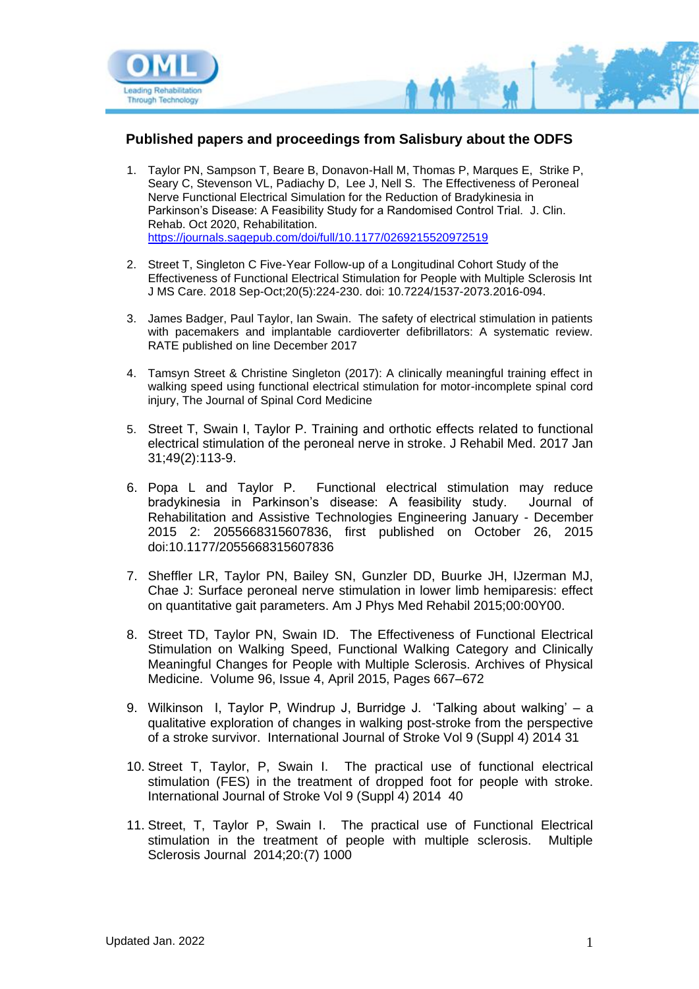

### **Published papers and proceedings from Salisbury about the ODFS**

- 1. Taylor PN, Sampson T, Beare B, Donavon-Hall M, Thomas P, Marques E, Strike P, Seary C, Stevenson VL, Padiachy D, Lee J, Nell S. The Effectiveness of Peroneal Nerve Functional Electrical Simulation for the Reduction of Bradykinesia in Parkinson's Disease: A Feasibility Study for a Randomised Control Trial. J. Clin. Rehab. Oct 2020, Rehabilitation. <https://journals.sagepub.com/doi/full/10.1177/0269215520972519>
- 2. Street T, Singleton C Five-Year Follow-up of a Longitudinal Cohort Study of the Effectiveness of Functional Electrical Stimulation for People with Multiple Sclerosis Int J MS Care. 2018 Sep-Oct;20(5):224-230. doi: 10.7224/1537-2073.2016-094.
- 3. James Badger, Paul Taylor, Ian Swain. The safety of electrical stimulation in patients with pacemakers and implantable cardioverter defibrillators: A systematic review. RATE published on line December 2017
- 4. Tamsyn Street & Christine Singleton (2017): A clinically meaningful training effect in walking speed using functional electrical stimulation for motor-incomplete spinal cord injury, The Journal of Spinal Cord Medicine
- 5. Street T, Swain I, Taylor P. Training and orthotic effects related to functional electrical stimulation of the peroneal nerve in stroke. J Rehabil Med. 2017 Jan 31;49(2):113-9.
- 6. Popa L and Taylor P. Functional electrical stimulation may reduce bradykinesia in Parkinson's disease: A feasibility study. Journal of Rehabilitation and Assistive Technologies Engineering January - December 2015 2: 2055668315607836, first published on October 26, 2015 doi:10.1177/2055668315607836
- 7. Sheffler LR, Taylor PN, Bailey SN, Gunzler DD, Buurke JH, IJzerman MJ, Chae J: Surface peroneal nerve stimulation in lower limb hemiparesis: effect on quantitative gait parameters. Am J Phys Med Rehabil 2015;00:00Y00.
- 8. Street TD, Taylor PN, Swain ID. The Effectiveness of Functional Electrical Stimulation on Walking Speed, Functional Walking Category and Clinically Meaningful Changes for People with Multiple Sclerosis. Archives of Physical Medicine. Volume 96, Issue 4, April 2015, Pages 667–672
- 9. Wilkinson I, Taylor P, Windrup J, Burridge J. 'Talking about walking' a qualitative exploration of changes in walking post-stroke from the perspective of a stroke survivor. International Journal of Stroke Vol 9 (Suppl 4) 2014 31
- 10. Street T, Taylor, P, Swain I. The practical use of functional electrical stimulation (FES) in the treatment of dropped foot for people with stroke. International Journal of Stroke Vol 9 (Suppl 4) 2014 40
- 11. Street, T, Taylor P, Swain I. The practical use of Functional Electrical stimulation in the treatment of people with multiple sclerosis. Multiple Sclerosis Journal 2014;20:(7) 1000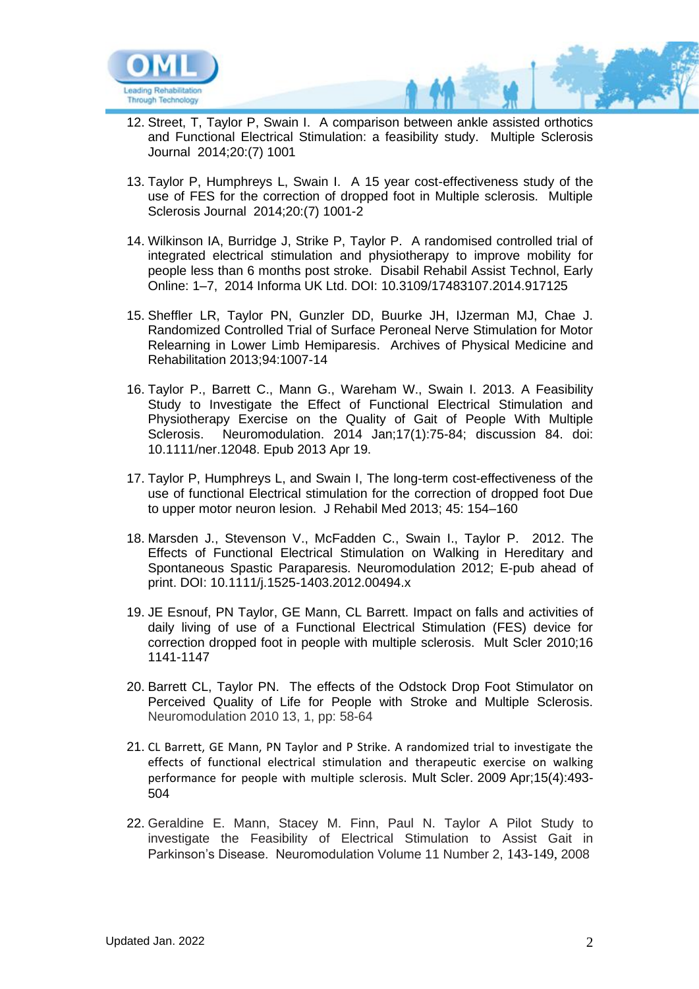

- 12. Street, T, Taylor P, Swain I. A comparison between ankle assisted orthotics and Functional Electrical Stimulation: a feasibility study. Multiple Sclerosis Journal 2014;20:(7) 1001
- 13. Taylor P, Humphreys L, Swain I. A 15 year cost-effectiveness study of the use of FES for the correction of dropped foot in Multiple sclerosis. Multiple Sclerosis Journal 2014;20:(7) 1001-2
- 14. Wilkinson IA, Burridge J, Strike P, Taylor P. A randomised controlled trial of integrated electrical stimulation and physiotherapy to improve mobility for people less than 6 months post stroke. Disabil Rehabil Assist Technol, Early Online: 1–7, 2014 Informa UK Ltd. DOI: 10.3109/17483107.2014.917125
- 15. Sheffler LR, Taylor PN, Gunzler DD, Buurke JH, IJzerman MJ, Chae J. Randomized Controlled Trial of Surface Peroneal Nerve Stimulation for Motor Relearning in Lower Limb Hemiparesis. Archives of Physical Medicine and Rehabilitation 2013;94:1007-14
- 16. Taylor P., Barrett C., Mann G., Wareham W., Swain I. 2013. A Feasibility Study to Investigate the Effect of Functional Electrical Stimulation and Physiotherapy Exercise on the Quality of Gait of People With Multiple Sclerosis. Neuromodulation. 2014 Jan;17(1):75-84; discussion 84. doi: 10.1111/ner.12048. Epub 2013 Apr 19.
- 17. Taylor P, Humphreys L, and Swain I, The long-term cost-effectiveness of the use of functional Electrical stimulation for the correction of dropped foot Due to upper motor neuron lesion. J Rehabil Med 2013; 45: 154–160
- 18. Marsden J., Stevenson V., McFadden C., Swain I., Taylor P. 2012. The Effects of Functional Electrical Stimulation on Walking in Hereditary and Spontaneous Spastic Paraparesis. Neuromodulation 2012; E-pub ahead of print. DOI: 10.1111/j.1525-1403.2012.00494.x
- 19. JE Esnouf, PN Taylor, GE Mann, CL Barrett. Impact on falls and activities of daily living of use of a Functional Electrical Stimulation (FES) device for correction dropped foot in people with multiple sclerosis. Mult Scler 2010;16 1141-1147
- 20. Barrett CL, Taylor PN. The effects of the Odstock Drop Foot Stimulator on Perceived Quality of Life for People with Stroke and Multiple Sclerosis. Neuromodulation 2010 13, 1, pp: 58-64
- 21. CL Barrett, GE Mann, PN Taylor and P Strike. A randomized trial to investigate the effects of functional electrical stimulation and therapeutic exercise on walking performance for people with multiple sclerosis. Mult Scler. 2009 Apr;15(4):493- 504
- 22. Geraldine E. Mann, Stacey M. Finn, Paul N. Taylor A Pilot Study to investigate the Feasibility of Electrical Stimulation to Assist Gait in Parkinson's Disease. Neuromodulation Volume 11 Number 2, 143-149, 2008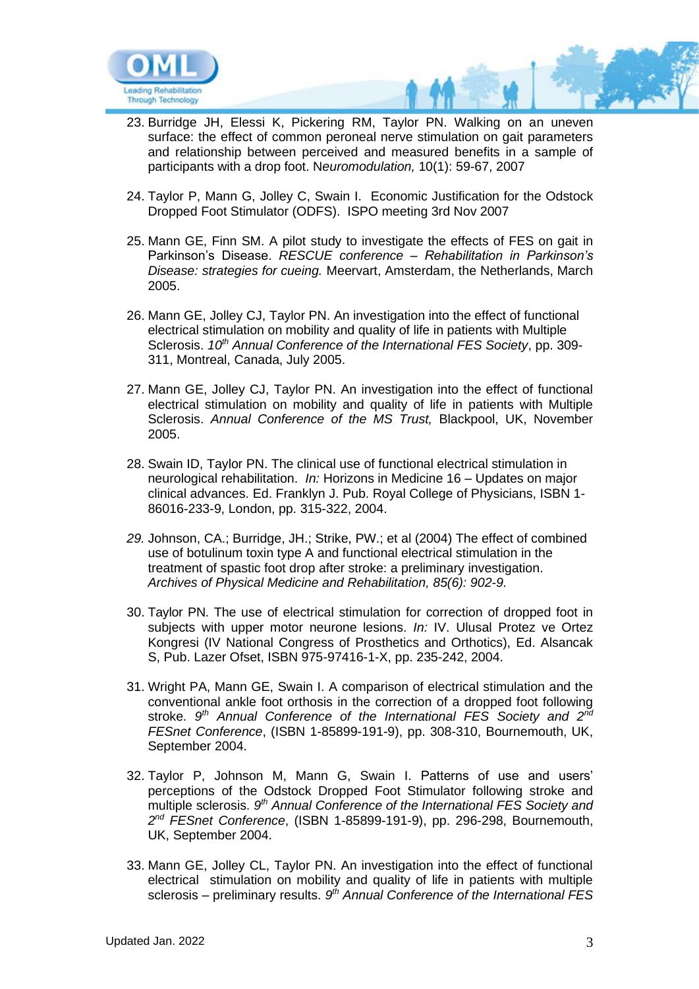

- 23. Burridge JH, Elessi K, Pickering RM, Taylor PN. Walking on an uneven surface: the effect of common peroneal nerve stimulation on gait parameters and relationship between perceived and measured benefits in a sample of participants with a drop foot. N*euromodulation,* 10(1): 59-67, 2007
- 24. Taylor P, Mann G, Jolley C, Swain I. Economic Justification for the Odstock Dropped Foot Stimulator (ODFS). ISPO meeting 3rd Nov 2007
- 25. Mann GE, Finn SM. A pilot study to investigate the effects of FES on gait in Parkinson's Disease. *RESCUE conference – Rehabilitation in Parkinson's Disease: strategies for cueing.* Meervart, Amsterdam, the Netherlands, March 2005.
- 26. Mann GE, Jolley CJ, Taylor PN. An investigation into the effect of functional electrical stimulation on mobility and quality of life in patients with Multiple Sclerosis. *10th Annual Conference of the International FES Society*, pp. 309- 311, Montreal, Canada, July 2005.
- 27. Mann GE, Jolley CJ, Taylor PN. An investigation into the effect of functional electrical stimulation on mobility and quality of life in patients with Multiple Sclerosis. *Annual Conference of the MS Trust,* Blackpool, UK, November 2005.
- 28. Swain ID, Taylor PN. The clinical use of functional electrical stimulation in neurological rehabilitation. *In:* Horizons in Medicine 16 – Updates on major clinical advances. Ed. Franklyn J. Pub. Royal College of Physicians, ISBN 1- 86016-233-9, London, pp. 315-322, 2004.
- *29.* Johnson, CA.; Burridge, JH.; Strike, PW.; et al (2004) The effect of combined use of botulinum toxin type A and functional electrical stimulation in the treatment of spastic foot drop after stroke: a preliminary investigation. *Archives of Physical Medicine and Rehabilitation, 85(6): 902-9.*
- 30. Taylor PN. The use of electrical stimulation for correction of dropped foot in subjects with upper motor neurone lesions. *In:* IV. Ulusal Protez ve Ortez Kongresi (IV National Congress of Prosthetics and Orthotics), Ed. Alsancak S, Pub. Lazer Ofset, ISBN 975-97416-1-X, pp. 235-242, 2004.
- 31. Wright PA, Mann GE, Swain I. A comparison of electrical stimulation and the conventional ankle foot orthosis in the correction of a dropped foot following stroke. 9<sup>th</sup> Annual Conference of the International FES Society and 2<sup>nd</sup> *FESnet Conference*, (ISBN 1-85899-191-9), pp. 308-310, Bournemouth, UK, September 2004.
- 32. Taylor P, Johnson M, Mann G, Swain I. Patterns of use and users' perceptions of the Odstock Dropped Foot Stimulator following stroke and multiple sclerosis. 9<sup>th</sup> Annual Conference of the International FES Society and *2 nd FESnet Conference*, (ISBN 1-85899-191-9), pp. 296-298, Bournemouth, UK, September 2004.
- 33. Mann GE, Jolley CL, Taylor PN. An investigation into the effect of functional electrical stimulation on mobility and quality of life in patients with multiple sclerosis – preliminary results. 9<sup>th</sup> Annual Conference of the International FES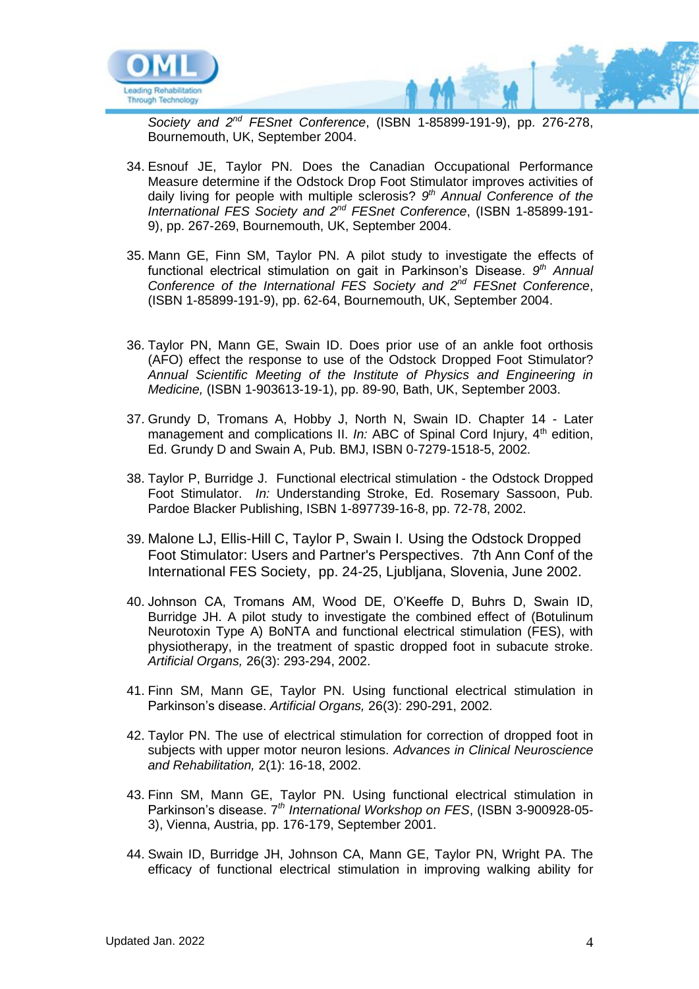

*Society and 2nd FESnet Conference*, (ISBN 1-85899-191-9), pp. 276-278, Bournemouth, UK, September 2004.

- 34. Esnouf JE, Taylor PN. Does the Canadian Occupational Performance Measure determine if the Odstock Drop Foot Stimulator improves activities of daily living for people with multiple sclerosis? *9 th Annual Conference of the International FES Society and 2nd FESnet Conference*, (ISBN 1-85899-191- 9), pp. 267-269, Bournemouth, UK, September 2004.
- 35. Mann GE, Finn SM, Taylor PN. A pilot study to investigate the effects of functional electrical stimulation on gait in Parkinson's Disease. *9 th Annual Conference of the International FES Society and 2nd FESnet Conference*, (ISBN 1-85899-191-9), pp. 62-64, Bournemouth, UK, September 2004.
- 36. Taylor PN, Mann GE, Swain ID. Does prior use of an ankle foot orthosis (AFO) effect the response to use of the Odstock Dropped Foot Stimulator? *Annual Scientific Meeting of the Institute of Physics and Engineering in Medicine,* (ISBN 1-903613-19-1), pp. 89-90, Bath, UK, September 2003.
- 37. Grundy D, Tromans A, Hobby J, North N, Swain ID. Chapter 14 Later management and complications II. *In:* ABC of Spinal Cord Injury, 4<sup>th</sup> edition, Ed. Grundy D and Swain A, Pub. BMJ, ISBN 0-7279-1518-5, 2002.
- 38. Taylor P, Burridge J. Functional electrical stimulation the Odstock Dropped Foot Stimulator. *In:* Understanding Stroke, Ed. Rosemary Sassoon, Pub. Pardoe Blacker Publishing, ISBN 1-897739-16-8, pp. 72-78, 2002.
- 39. Malone LJ, Ellis-Hill C, Taylor P, Swain I. Using the Odstock Dropped Foot Stimulator: Users and Partner's Perspectives. 7th Ann Conf of the International FES Society, pp. 24-25, Ljubljana, Slovenia, June 2002.
- 40. Johnson CA, Tromans AM, Wood DE, O'Keeffe D, Buhrs D, Swain ID, Burridge JH. A pilot study to investigate the combined effect of (Botulinum Neurotoxin Type A) BoNTA and functional electrical stimulation (FES), with physiotherapy, in the treatment of spastic dropped foot in subacute stroke. *Artificial Organs,* 26(3): 293-294, 2002.
- 41. Finn SM, Mann GE, Taylor PN. Using functional electrical stimulation in Parkinson's disease. *Artificial Organs,* 26(3): 290-291, 2002.
- 42. Taylor PN. The use of electrical stimulation for correction of dropped foot in subjects with upper motor neuron lesions. *Advances in Clinical Neuroscience and Rehabilitation,* 2(1): 16-18, 2002.
- 43. Finn SM, Mann GE, Taylor PN. Using functional electrical stimulation in Parkinson's disease. 7*th International Workshop on FES*, (ISBN 3-900928-05- 3), Vienna, Austria, pp. 176-179, September 2001.
- 44. Swain ID, Burridge JH, Johnson CA, Mann GE, Taylor PN, Wright PA. The efficacy of functional electrical stimulation in improving walking ability for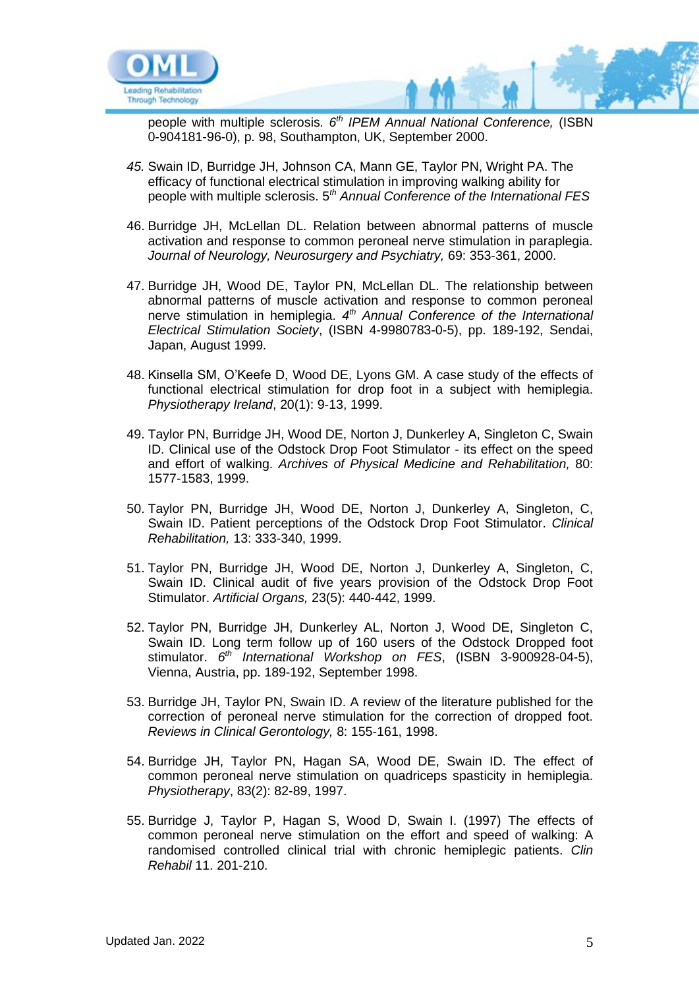

people with multiple sclerosis*. 6th IPEM Annual National Conference,* (ISBN 0-904181-96-0), p. 98, Southampton, UK, September 2000.

- *45.* Swain ID, Burridge JH, Johnson CA, Mann GE, Taylor PN, Wright PA. The efficacy of functional electrical stimulation in improving walking ability for people with multiple sclerosis. 5*th Annual Conference of the International FES*
- 46. Burridge JH, McLellan DL. Relation between abnormal patterns of muscle activation and response to common peroneal nerve stimulation in paraplegia. *Journal of Neurology, Neurosurgery and Psychiatry,* 69: 353-361, 2000.
- 47. Burridge JH, Wood DE, Taylor PN, McLellan DL. The relationship between abnormal patterns of muscle activation and response to common peroneal nerve stimulation in hemiplegia. *4 th Annual Conference of the International Electrical Stimulation Society*, (ISBN 4-9980783-0-5), pp. 189-192, Sendai, Japan, August 1999.
- 48. Kinsella SM, O'Keefe D, Wood DE, Lyons GM. A case study of the effects of functional electrical stimulation for drop foot in a subject with hemiplegia. *Physiotherapy Ireland*, 20(1): 9-13, 1999.
- 49. Taylor PN, Burridge JH, Wood DE, Norton J, Dunkerley A, Singleton C, Swain ID. Clinical use of the Odstock Drop Foot Stimulator - its effect on the speed and effort of walking. *Archives of Physical Medicine and Rehabilitation,* 80: 1577-1583, 1999.
- 50. Taylor PN, Burridge JH, Wood DE, Norton J, Dunkerley A, Singleton, C, Swain ID. Patient perceptions of the Odstock Drop Foot Stimulator. *Clinical Rehabilitation,* 13: 333-340, 1999.
- 51. Taylor PN, Burridge JH, Wood DE, Norton J, Dunkerley A, Singleton, C, Swain ID. Clinical audit of five years provision of the Odstock Drop Foot Stimulator. *Artificial Organs,* 23(5): 440-442, 1999.
- 52. Taylor PN, Burridge JH, Dunkerley AL, Norton J, Wood DE, Singleton C, Swain ID. Long term follow up of 160 users of the Odstock Dropped foot stimulator. *6 th International Workshop on FES*, (ISBN 3-900928-04-5), Vienna, Austria, pp. 189-192, September 1998.
- 53. Burridge JH, Taylor PN, Swain ID. A review of the literature published for the correction of peroneal nerve stimulation for the correction of dropped foot. *Reviews in Clinical Gerontology,* 8: 155-161, 1998.
- 54. Burridge JH, Taylor PN, Hagan SA, Wood DE, Swain ID. The effect of common peroneal nerve stimulation on quadriceps spasticity in hemiplegia. *Physiotherapy*, 83(2): 82-89, 1997.
- 55. Burridge J, Taylor P, Hagan S, Wood D, Swain I. (1997) The effects of common peroneal nerve stimulation on the effort and speed of walking: A randomised controlled clinical trial with chronic hemiplegic patients. *Clin Rehabil* 11. 201-210.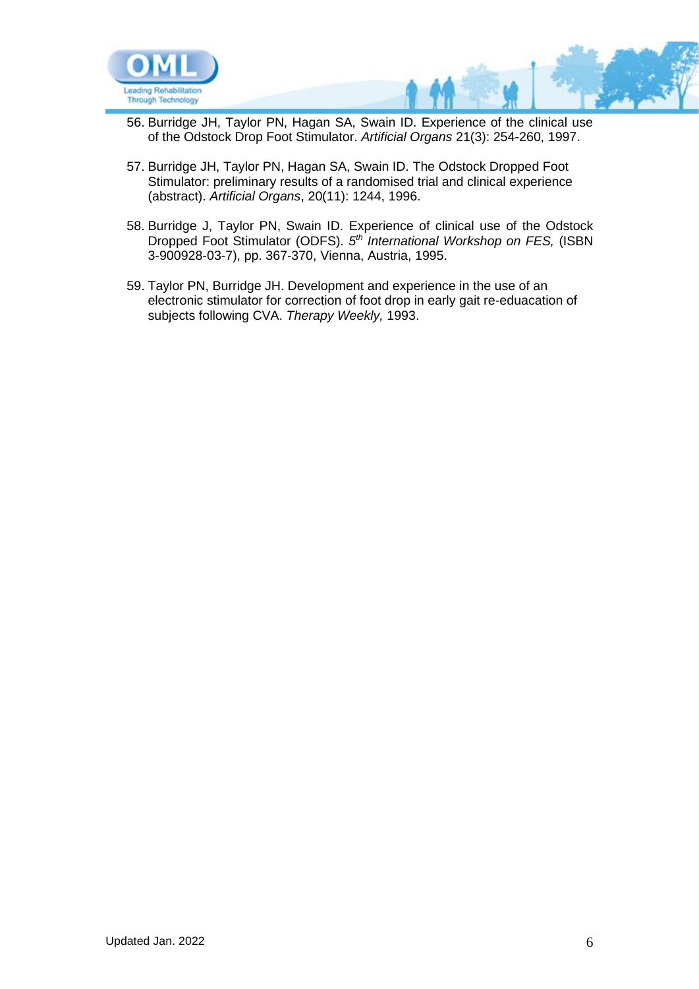

- 56. Burridge JH, Taylor PN, Hagan SA, Swain ID. Experience of the clinical use of the Odstock Drop Foot Stimulator. *Artificial Organs* 21(3): 254-260, 1997.
- 57. Burridge JH, Taylor PN, Hagan SA, Swain ID. The Odstock Dropped Foot Stimulator: preliminary results of a randomised trial and clinical experience (abstract). *Artificial Organs*, 20(11): 1244, 1996.
- 58. Burridge J, Taylor PN, Swain ID. Experience of clinical use of the Odstock Dropped Foot Stimulator (ODFS). *5 th International Workshop on FES,* (ISBN 3-900928-03-7), pp. 367-370, Vienna, Austria, 1995.
- 59. Taylor PN, Burridge JH. Development and experience in the use of an electronic stimulator for correction of foot drop in early gait re-eduacation of subjects following CVA. *Therapy Weekly,* 1993.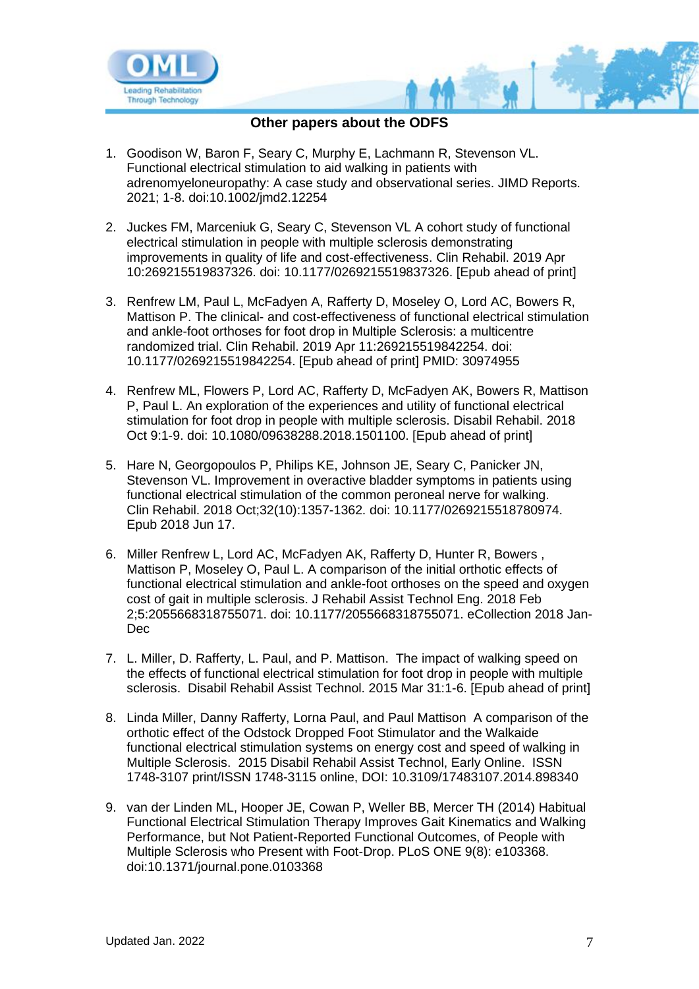

# **Other papers about the ODFS**

- 1. Goodison W, Baron F, Seary C, Murphy E, Lachmann R, Stevenson VL. Functional electrical stimulation to aid walking in patients with adrenomyeloneuropathy: A case study and observational series. JIMD Reports. 2021; 1-8. doi:10.1002/jmd2.12254
- 2. Juckes FM, Marceniuk G, Seary C, Stevenson VL A cohort study of functional electrical stimulation in people with multiple sclerosis demonstrating improvements in quality of life and cost-effectiveness. Clin Rehabil. 2019 Apr 10:269215519837326. doi: 10.1177/0269215519837326. [Epub ahead of print]
- 3. Renfrew LM, Paul L, McFadyen A, Rafferty D, Moseley O, Lord AC, Bowers R, Mattison P. The clinical- and cost-effectiveness of functional electrical stimulation and ankle-foot orthoses for foot drop in Multiple Sclerosis: a multicentre randomized trial. Clin Rehabil. 2019 Apr 11:269215519842254. doi: 10.1177/0269215519842254. [Epub ahead of print] PMID: 30974955
- 4. Renfrew ML, Flowers P, Lord AC, Rafferty D, McFadyen AK, Bowers R, Mattison P, Paul L. An exploration of the experiences and utility of functional electrical stimulation for foot drop in people with multiple sclerosis. Disabil Rehabil. 2018 Oct 9:1-9. doi: 10.1080/09638288.2018.1501100. [Epub ahead of print]
- 5. Hare N, Georgopoulos P, Philips KE, Johnson JE, Seary C, Panicker JN, Stevenson VL. Improvement in overactive bladder symptoms in patients using functional electrical stimulation of the common peroneal nerve for walking. Clin Rehabil. 2018 Oct;32(10):1357-1362. doi: 10.1177/0269215518780974. Epub 2018 Jun 17.
- 6. Miller Renfrew L, Lord AC, McFadyen AK, Rafferty D, Hunter R, Bowers , Mattison P, Moseley O, Paul L. A comparison of the initial orthotic effects of functional electrical stimulation and ankle-foot orthoses on the speed and oxygen cost of gait in multiple sclerosis. J Rehabil Assist Technol Eng. 2018 Feb 2;5:2055668318755071. doi: 10.1177/2055668318755071. eCollection 2018 Jan-Dec
- 7. L. Miller, D. Rafferty, L. Paul, and P. Mattison. The impact of walking speed on the effects of functional electrical stimulation for foot drop in people with multiple sclerosis. Disabil Rehabil Assist Technol. 2015 Mar 31:1-6. [Epub ahead of print]
- 8. Linda Miller, Danny Rafferty, Lorna Paul, and Paul Mattison A comparison of the orthotic effect of the Odstock Dropped Foot Stimulator and the Walkaide functional electrical stimulation systems on energy cost and speed of walking in Multiple Sclerosis. 2015 Disabil Rehabil Assist Technol, Early Online. ISSN 1748-3107 print/ISSN 1748-3115 online, DOI: 10.3109/17483107.2014.898340
- 9. van der Linden ML, Hooper JE, Cowan P, Weller BB, Mercer TH (2014) Habitual Functional Electrical Stimulation Therapy Improves Gait Kinematics and Walking Performance, but Not Patient-Reported Functional Outcomes, of People with Multiple Sclerosis who Present with Foot-Drop. PLoS ONE 9(8): e103368. doi:10.1371/journal.pone.0103368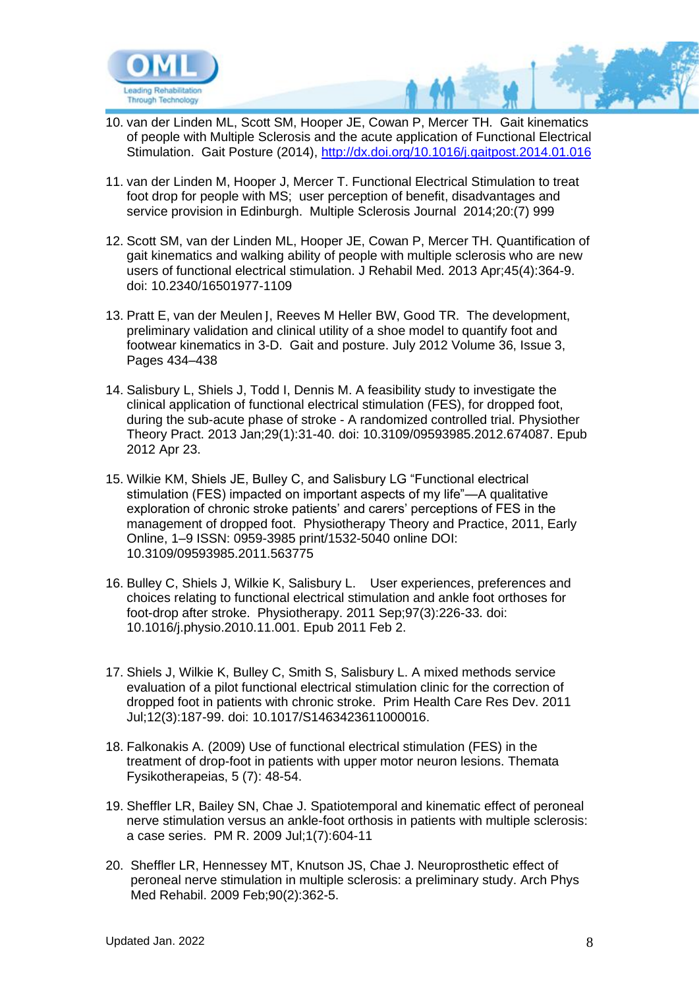

- 10. van der Linden ML, Scott SM, Hooper JE, Cowan P, Mercer TH. Gait kinematics of people with Multiple Sclerosis and the acute application of Functional Electrical Stimulation. Gait Posture (2014),<http://dx.doi.org/10.1016/j.gaitpost.2014.01.016>
- 11. van der Linden M, Hooper J, Mercer T. Functional Electrical Stimulation to treat foot drop for people with MS; user perception of benefit, disadvantages and service provision in Edinburgh. Multiple Sclerosis Journal 2014;20:(7) 999
- 12. Scott SM, van der Linden ML, Hooper JE, Cowan P, Mercer TH. Quantification of gait kinematics and walking ability of people with multiple sclerosis who are new users of functional electrical stimulation. J Rehabil Med. 2013 Apr;45(4):364-9. doi: 10.2340/16501977-1109
- 13. Pratt E, van der Meulen J, Reeves M Heller BW, Good TR. The development, preliminary validation and clinical utility of a shoe model to quantify foot and footwear kinematics in 3-D. Gait and posture. July 2012 Volume 36, Issue 3, Pages 434–438
- 14. Salisbury L, Shiels J, Todd I, Dennis M. A feasibility study to investigate the clinical application of functional electrical stimulation (FES), for dropped foot, during the sub-acute phase of stroke - A randomized controlled trial. Physiother Theory Pract. 2013 Jan;29(1):31-40. doi: 10.3109/09593985.2012.674087. Epub 2012 Apr 23.
- 15. Wilkie KM, Shiels JE, Bulley C, and Salisbury LG "Functional electrical stimulation (FES) impacted on important aspects of my life"—A qualitative exploration of chronic stroke patients' and carers' perceptions of FES in the management of dropped foot. Physiotherapy Theory and Practice, 2011, Early Online, 1–9 ISSN: 0959-3985 print/1532-5040 online DOI: 10.3109/09593985.2011.563775
- 16. Bulley C, Shiels J, Wilkie K, Salisbury L. User experiences, preferences and choices relating to functional electrical stimulation and ankle foot orthoses for foot-drop after stroke. Physiotherapy. 2011 Sep;97(3):226-33. doi: 10.1016/j.physio.2010.11.001. Epub 2011 Feb 2.
- 17. Shiels J, Wilkie K, Bulley C, Smith S, Salisbury L. A mixed methods service evaluation of a pilot functional electrical stimulation clinic for the correction of dropped foot in patients with chronic stroke. Prim Health Care Res Dev. 2011 Jul;12(3):187-99. doi: 10.1017/S1463423611000016.
- 18. Falkonakis A. (2009) Use of functional electrical stimulation (FES) in the treatment of drop-foot in patients with upper motor neuron lesions. Themata Fysikotherapeias, 5 (7): 48-54.
- 19. Sheffler LR, Bailey SN, Chae J. Spatiotemporal and kinematic effect of peroneal nerve stimulation versus an ankle-foot orthosis in patients with multiple sclerosis: a case series. PM R. 2009 Jul;1(7):604-11
- 20. Sheffler LR, Hennessey MT, Knutson JS, Chae J. Neuroprosthetic effect of peroneal nerve stimulation in multiple sclerosis: a preliminary study. Arch Phys Med Rehabil. 2009 Feb;90(2):362-5.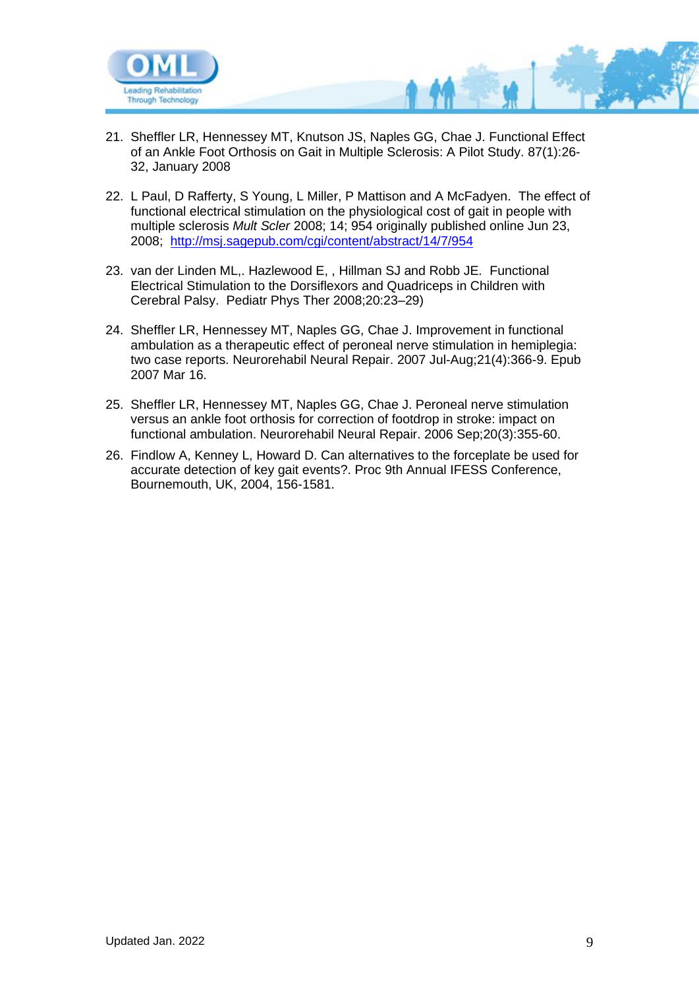

- 21. [Sheffler LR,](http://www.ncbi.nlm.nih.gov/sites/?Db=PubMed&Cmd=Search&Term=%22Sheffler%20LR%22%5BAuthor%5D&itool=EntrezSystem2.PEntrez.Pubmed.Pubmed_ResultsPanel.Pubmed_RVAbstractPlus) [Hennessey MT,](http://www.ncbi.nlm.nih.gov/sites/?Db=PubMed&Cmd=Search&Term=%22Hennessey%20MT%22%5BAuthor%5D&itool=EntrezSystem2.PEntrez.Pubmed.Pubmed_ResultsPanel.Pubmed_RVAbstractPlus) [Knutson JS,](http://www.ncbi.nlm.nih.gov/sites/?Db=PubMed&Cmd=Search&Term=%22Knutson%20JS%22%5BAuthor%5D&itool=EntrezSystem2.PEntrez.Pubmed.Pubmed_ResultsPanel.Pubmed_RVAbstractPlus) [Naples GG,](http://www.ncbi.nlm.nih.gov/sites/?Db=PubMed&Cmd=Search&Term=%22Naples%20GG%22%5BAuthor%5D&itool=EntrezSystem2.PEntrez.Pubmed.Pubmed_ResultsPanel.Pubmed_RVAbstractPlus) [Chae J.](http://www.ncbi.nlm.nih.gov/sites/?Db=PubMed&Cmd=Search&Term=%22Chae%20J%22%5BAuthor%5D&itool=EntrezSystem2.PEntrez.Pubmed.Pubmed_ResultsPanel.Pubmed_RVAbstractPlus) Functional Effect of an Ankle Foot Orthosis on Gait in Multiple Sclerosis: A Pilot Study. 87(1):26- 32, January 2008
- 22. L Paul, D Rafferty, S Young, L Miller, P Mattison and A McFadyen. The effect of functional electrical stimulation on the physiological cost of gait in people with multiple sclerosis *Mult Scler* 2008; 14; 954 originally published online Jun 23, 2008; <http://msj.sagepub.com/cgi/content/abstract/14/7/954>
- 23. van der Linden ML,. Hazlewood E, , Hillman SJ and Robb JE*.* Functional Electrical Stimulation to the Dorsiflexors and Quadriceps in Children with Cerebral Palsy. Pediatr Phys Ther 2008;20:23–29)
- 24. [Sheffler LR,](http://www.ncbi.nlm.nih.gov/pubmed?term=%22Sheffler%20LR%22%5BAuthor%5D) [Hennessey MT,](http://www.ncbi.nlm.nih.gov/pubmed?term=%22Hennessey%20MT%22%5BAuthor%5D) [Naples GG,](http://www.ncbi.nlm.nih.gov/pubmed?term=%22Naples%20GG%22%5BAuthor%5D) [Chae J.](http://www.ncbi.nlm.nih.gov/pubmed?term=%22Chae%20J%22%5BAuthor%5D) Improvement in functional ambulation as a therapeutic effect of peroneal nerve stimulation in hemiplegia: two case reports. [Neurorehabil Neural Repair.](javascript:AL_get(this,%20) 2007 Jul-Aug;21(4):366-9. Epub 2007 Mar 16.
- 25. Sheffler LR, Hennessey MT, Naples GG, Chae J. Peroneal nerve stimulation versus an ankle foot orthosis for correction of footdrop in stroke: impact on functional ambulation. Neurorehabil Neural Repair. 2006 Sep;20(3):355-60.
- 26. Findlow A, Kenney L, Howard D. Can alternatives to the forceplate be used for accurate detection of key gait events?. Proc 9th Annual IFESS Conference, Bournemouth, UK, 2004, 156-1581.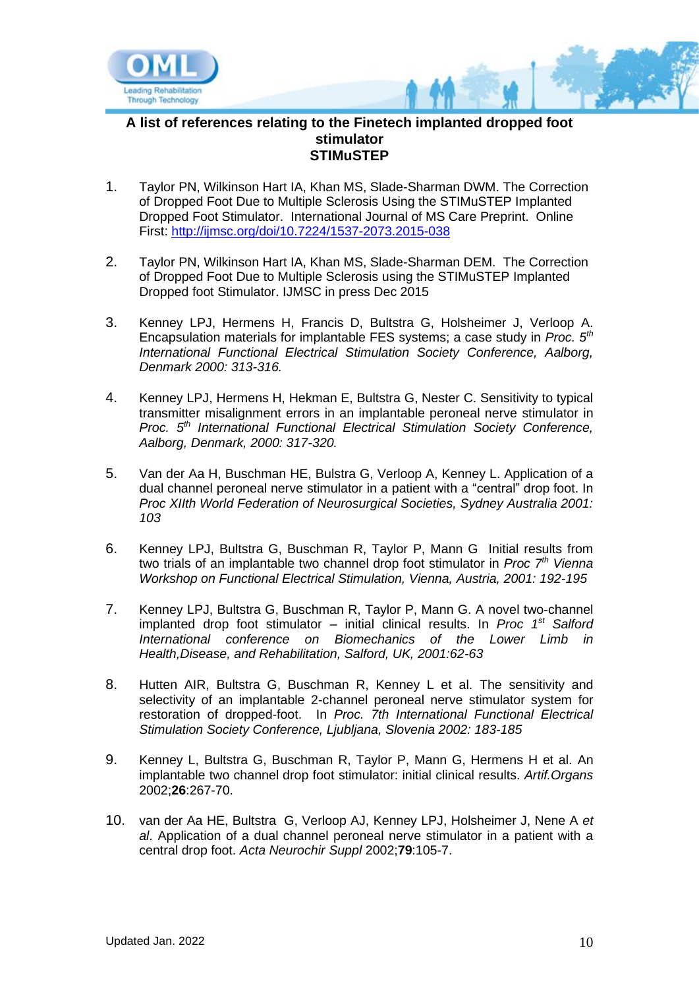

#### **A list of references relating to the Finetech implanted dropped foot stimulator STIMuSTEP**

- 1. Taylor PN, Wilkinson Hart IA, Khan MS, Slade-Sharman DWM. The Correction of Dropped Foot Due to Multiple Sclerosis Using the STIMuSTEP Implanted Dropped Foot Stimulator. International Journal of MS Care Preprint. Online First:<http://ijmsc.org/doi/10.7224/1537-2073.2015-038>
- 2. Taylor PN, Wilkinson Hart IA, Khan MS, Slade-Sharman DEM. The Correction of Dropped Foot Due to Multiple Sclerosis using the STIMuSTEP Implanted Dropped foot Stimulator. IJMSC in press Dec 2015
- 3. Kenney LPJ, Hermens H, Francis D, Bultstra G, Holsheimer J, Verloop A. Encapsulation materials for implantable FES systems; a case study in *Proc. 5th International Functional Electrical Stimulation Society Conference, Aalborg, Denmark 2000: 313-316.*
- 4. Kenney LPJ, Hermens H, Hekman E, Bultstra G, Nester C. Sensitivity to typical transmitter misalignment errors in an implantable peroneal nerve stimulator in *Proc. 5th International Functional Electrical Stimulation Society Conference, Aalborg, Denmark, 2000: 317-320.*
- 5. Van der Aa H, Buschman HE, Bulstra G, Verloop A, Kenney L. Application of a dual channel peroneal nerve stimulator in a patient with a "central" drop foot. In *Proc XIIth World Federation of Neurosurgical Societies, Sydney Australia 2001: 103*
- 6. Kenney LPJ, Bultstra G, Buschman R, Taylor P, Mann G Initial results from two trials of an implantable two channel drop foot stimulator in *Proc 7th Vienna Workshop on Functional Electrical Stimulation, Vienna, Austria, 2001: 192-195*
- 7. Kenney LPJ, Bultstra G, Buschman R, Taylor P, Mann G. A novel two-channel implanted drop foot stimulator – initial clinical results. In *Proc 1st Salford International conference on Biomechanics of the Lower Limb in Health,Disease, and Rehabilitation, Salford, UK, 2001:62-63*
- 8. Hutten AIR, Bultstra G, Buschman R, Kenney L et al. The sensitivity and selectivity of an implantable 2-channel peroneal nerve stimulator system for restoration of dropped-foot. In *Proc. 7th International Functional Electrical Stimulation Society Conference, Ljubljana, Slovenia 2002: 183-185*
- 9. Kenney L, Bultstra G, Buschman R, Taylor P, Mann G, Hermens H et al. An implantable two channel drop foot stimulator: initial clinical results. *Artif.Organs* 2002;**26**:267-70.
- 10. van der Aa HE, Bultstra G, Verloop AJ, Kenney LPJ, Holsheimer J, Nene A *et al*. Application of a dual channel peroneal nerve stimulator in a patient with a central drop foot. *Acta Neurochir Suppl* 2002;**79**:105-7.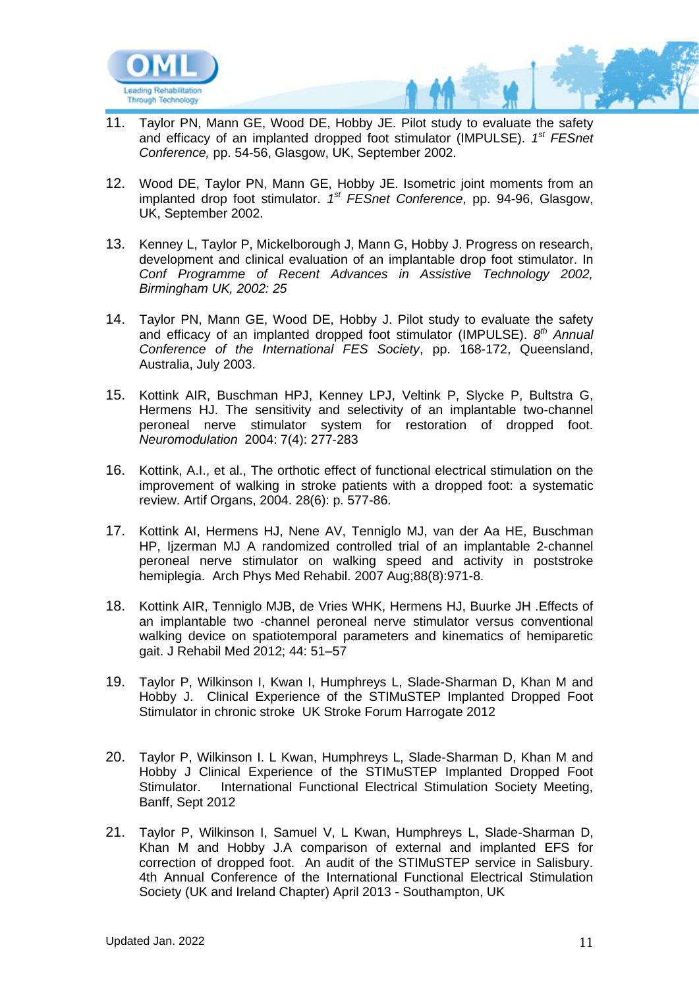

- 11. Taylor PN, Mann GE, Wood DE, Hobby JE. Pilot study to evaluate the safety and efficacy of an implanted dropped foot stimulator (IMPULSE). <sup>1st</sup> FESnet *Conference,* pp. 54-56, Glasgow, UK, September 2002.
- 12. Wood DE, Taylor PN, Mann GE, Hobby JE. Isometric joint moments from an implanted drop foot stimulator. 1<sup>st</sup> FESnet Conference, pp. 94-96, Glasgow, UK, September 2002.
- 13. Kenney L, Taylor P, Mickelborough J, Mann G, Hobby J. Progress on research, development and clinical evaluation of an implantable drop foot stimulator. In *Conf Programme of Recent Advances in Assistive Technology 2002, Birmingham UK, 2002: 25*
- 14. Taylor PN, Mann GE, Wood DE, Hobby J. Pilot study to evaluate the safety and efficacy of an implanted dropped foot stimulator (IMPULSE). 8<sup>th</sup> Annual *Conference of the International FES Society*, pp. 168-172, Queensland, Australia, July 2003.
- 15. Kottink AIR, Buschman HPJ, Kenney LPJ, Veltink P, Slycke P, Bultstra G, Hermens HJ. The sensitivity and selectivity of an implantable two-channel peroneal nerve stimulator system for restoration of dropped foot. *Neuromodulation* 2004: 7(4): 277-283
- 16. Kottink, A.I., et al., The orthotic effect of functional electrical stimulation on the improvement of walking in stroke patients with a dropped foot: a systematic review. Artif Organs, 2004. 28(6): p. 577-86.
- 17. [Kottink AI,](http://www.ncbi.nlm.nih.gov/sites/entrez?Db=pubmed&Cmd=Search&Term=%22Kottink%20AI%22%5BAuthor%5D&itool=EntrezSystem2.PEntrez.Pubmed.Pubmed_ResultsPanel.Pubmed_RVAbstractPlus) [Hermens HJ,](http://www.ncbi.nlm.nih.gov/sites/entrez?Db=pubmed&Cmd=Search&Term=%22Hermens%20HJ%22%5BAuthor%5D&itool=EntrezSystem2.PEntrez.Pubmed.Pubmed_ResultsPanel.Pubmed_RVAbstractPlus) [Nene AV,](http://www.ncbi.nlm.nih.gov/sites/entrez?Db=pubmed&Cmd=Search&Term=%22Nene%20AV%22%5BAuthor%5D&itool=EntrezSystem2.PEntrez.Pubmed.Pubmed_ResultsPanel.Pubmed_RVAbstractPlus) [Tenniglo MJ,](http://www.ncbi.nlm.nih.gov/sites/entrez?Db=pubmed&Cmd=Search&Term=%22Tenniglo%20MJ%22%5BAuthor%5D&itool=EntrezSystem2.PEntrez.Pubmed.Pubmed_ResultsPanel.Pubmed_RVAbstractPlus) [van der Aa HE,](http://www.ncbi.nlm.nih.gov/sites/entrez?Db=pubmed&Cmd=Search&Term=%22van%20der%20Aa%20HE%22%5BAuthor%5D&itool=EntrezSystem2.PEntrez.Pubmed.Pubmed_ResultsPanel.Pubmed_RVAbstractPlus) [Buschman](http://www.ncbi.nlm.nih.gov/sites/entrez?Db=pubmed&Cmd=Search&Term=%22Buschman%20HP%22%5BAuthor%5D&itool=EntrezSystem2.PEntrez.Pubmed.Pubmed_ResultsPanel.Pubmed_RVAbstractPlus)  [HP,](http://www.ncbi.nlm.nih.gov/sites/entrez?Db=pubmed&Cmd=Search&Term=%22Buschman%20HP%22%5BAuthor%5D&itool=EntrezSystem2.PEntrez.Pubmed.Pubmed_ResultsPanel.Pubmed_RVAbstractPlus) [Ijzerman MJ](http://www.ncbi.nlm.nih.gov/sites/entrez?Db=pubmed&Cmd=Search&Term=%22Ijzerman%20MJ%22%5BAuthor%5D&itool=EntrezSystem2.PEntrez.Pubmed.Pubmed_ResultsPanel.Pubmed_RVAbstractPlus) A randomized controlled trial of an implantable 2-channel peroneal nerve stimulator on walking speed and activity in poststroke hemiplegia. [Arch Phys Med Rehabil.](javascript:AL_get(this,%20) 2007 Aug;88(8):971-8.
- 18. Kottink AIR, Tenniglo MJB, de Vries WHK, Hermens HJ, Buurke JH .Effects of an implantable two -channel peroneal nerve stimulator versus conventional walking device on spatiotemporal parameters and kinematics of hemiparetic gait. J Rehabil Med 2012; 44: 51–57
- 19. Taylor P, Wilkinson I, Kwan I, Humphreys L, Slade-Sharman D, Khan M and Hobby J. Clinical Experience of the STIMuSTEP Implanted Dropped Foot Stimulator in chronic stroke UK Stroke Forum Harrogate 2012
- 20. Taylor P, Wilkinson I. L Kwan, Humphreys L, Slade-Sharman D, Khan M and Hobby J Clinical Experience of the STIMuSTEP Implanted Dropped Foot Stimulator. International Functional Electrical Stimulation Society Meeting, Banff, Sept 2012
- 21. Taylor P, Wilkinson I, Samuel V, L Kwan, Humphreys L, Slade-Sharman D, Khan M and Hobby J.A comparison of external and implanted EFS for correction of dropped foot. An audit of the STIMuSTEP service in Salisbury. 4th Annual Conference of the International Functional Electrical Stimulation Society (UK and Ireland Chapter) April 2013 - Southampton, UK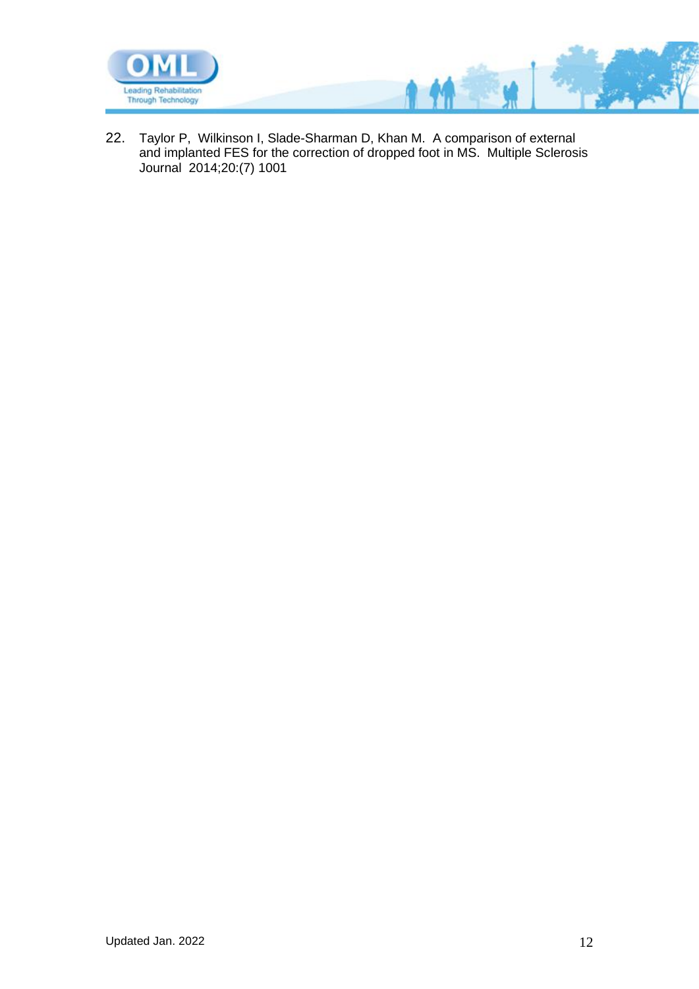

22. Taylor P, Wilkinson I, Slade-Sharman D, Khan M. A comparison of external and implanted FES for the correction of dropped foot in MS. Multiple Sclerosis Journal 2014;20:(7) 1001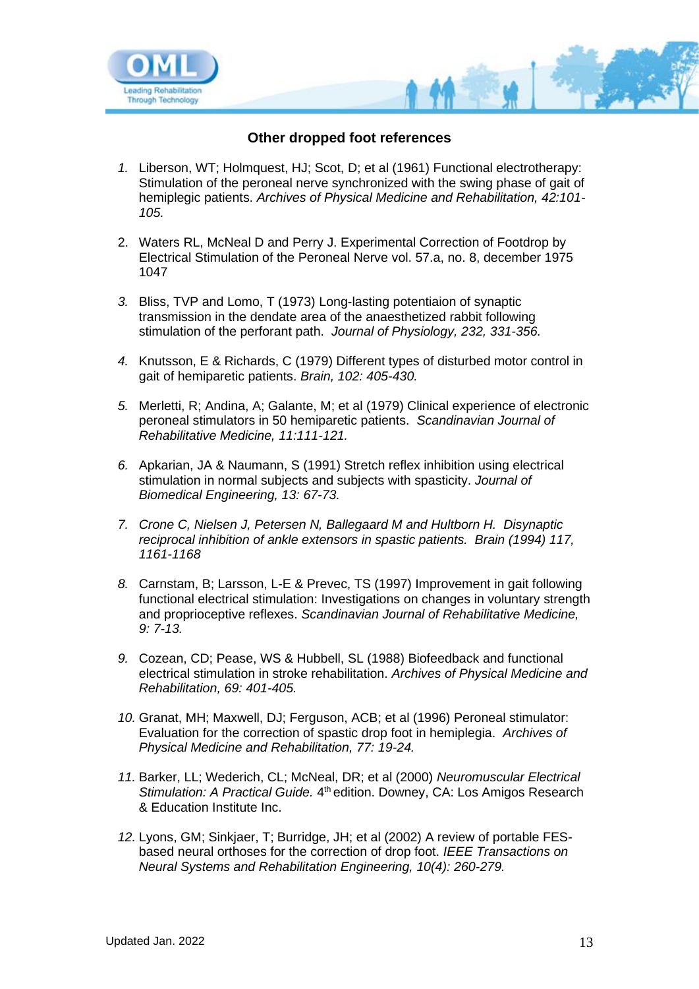

## **Other dropped foot references**

- *1.* Liberson, WT; Holmquest, HJ; Scot, D; et al (1961) Functional electrotherapy: Stimulation of the peroneal nerve synchronized with the swing phase of gait of hemiplegic patients. *Archives of Physical Medicine and Rehabilitation, 42:101- 105.*
- 2. Waters RL, McNeal D and Perry J. Experimental Correction of Footdrop by Electrical Stimulation of the Peroneal Nerve vol. 57.a, no. 8, december 1975 1047
- *3.* Bliss, TVP and Lomo, T (1973) Long-lasting potentiaion of synaptic transmission in the dendate area of the anaesthetized rabbit following stimulation of the perforant path. *Journal of Physiology, 232, 331-356.*
- *4.* Knutsson, E & Richards, C (1979) Different types of disturbed motor control in gait of hemiparetic patients. *Brain, 102: 405-430.*
- *5.* Merletti, R; Andina, A; Galante, M; et al (1979) Clinical experience of electronic peroneal stimulators in 50 hemiparetic patients. *Scandinavian Journal of Rehabilitative Medicine, 11:111-121.*
- *6.* Apkarian, JA & Naumann, S (1991) Stretch reflex inhibition using electrical stimulation in normal subjects and subjects with spasticity. *Journal of Biomedical Engineering, 13: 67-73.*
- *7. Crone C, Nielsen J, Petersen N, Ballegaard M and Hultborn H. Disynaptic reciprocal inhibition of ankle extensors in spastic patients. Brain (1994) 117, 1161-1168*
- *8.* Carnstam, B; Larsson, L-E & Prevec, TS (1997) Improvement in gait following functional electrical stimulation: Investigations on changes in voluntary strength and proprioceptive reflexes. *Scandinavian Journal of Rehabilitative Medicine, 9: 7-13.*
- *9.* Cozean, CD; Pease, WS & Hubbell, SL (1988) Biofeedback and functional electrical stimulation in stroke rehabilitation. *Archives of Physical Medicine and Rehabilitation, 69: 401-405.*
- *10.* Granat, MH; Maxwell, DJ; Ferguson, ACB; et al (1996) Peroneal stimulator: Evaluation for the correction of spastic drop foot in hemiplegia. *Archives of Physical Medicine and Rehabilitation, 77: 19-24.*
- *11.* Barker, LL; Wederich, CL; McNeal, DR; et al (2000) *Neuromuscular Electrical*  Stimulation: A Practical Guide. 4<sup>th</sup> edition. Downey, CA: Los Amigos Research & Education Institute Inc.
- *12.* Lyons, GM; Sinkjaer, T; Burridge, JH; et al (2002) A review of portable FESbased neural orthoses for the correction of drop foot. *IEEE Transactions on Neural Systems and Rehabilitation Engineering, 10(4): 260-279.*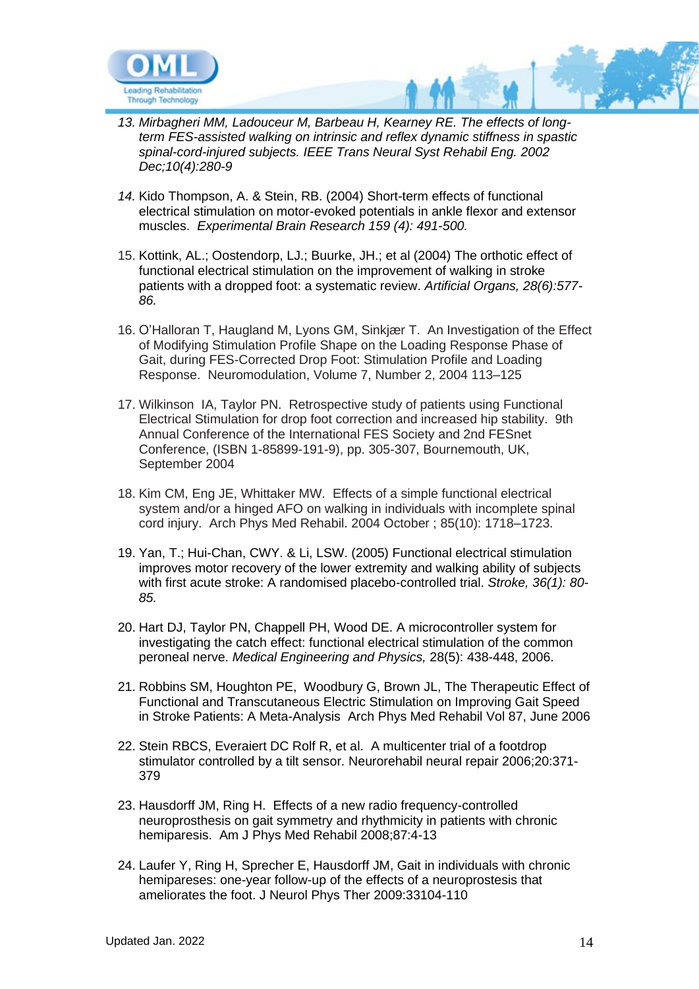

- *13. Mirbagheri MM, Ladouceur M, Barbeau H, Kearney RE. The effects of longterm FES-assisted walking on intrinsic and reflex dynamic stiffness in spastic spinal-cord-injured subjects. IEEE Trans Neural Syst Rehabil Eng. 2002 Dec;10(4):280-9*
- *14.* Kido Thompson, A. & Stein, RB. (2004) Short-term effects of functional electrical stimulation on motor-evoked potentials in ankle flexor and extensor muscles. *Experimental Brain Research 159 (4): 491-500.*
- 15. Kottink, AL.; Oostendorp, LJ.; Buurke, JH.; et al (2004) The orthotic effect of functional electrical stimulation on the improvement of walking in stroke patients with a dropped foot: a systematic review. *Artificial Organs, 28(6):577- 86.*
- 16. O'Halloran T, Haugland M, Lyons GM, Sinkjær T. An Investigation of the Effect of Modifying Stimulation Profile Shape on the Loading Response Phase of Gait, during FES-Corrected Drop Foot: Stimulation Profile and Loading Response. Neuromodulation, Volume 7, Number 2, 2004 113–125
- 17. Wilkinson IA, Taylor PN. Retrospective study of patients using Functional Electrical Stimulation for drop foot correction and increased hip stability. 9th Annual Conference of the International FES Society and 2nd FESnet Conference, (ISBN 1-85899-191-9), pp. 305-307, Bournemouth, UK, September 2004
- 18. Kim CM, Eng JE, Whittaker MW. Effects of a simple functional electrical system and/or a hinged AFO on walking in individuals with incomplete spinal cord injury. Arch Phys Med Rehabil. 2004 October ; 85(10): 1718–1723.
- 19. Yan, T.; Hui-Chan, CWY. & Li, LSW. (2005) Functional electrical stimulation improves motor recovery of the lower extremity and walking ability of subjects with first acute stroke: A randomised placebo-controlled trial. *Stroke, 36(1): 80- 85.*
- 20. Hart DJ, Taylor PN, Chappell PH, Wood DE. A microcontroller system for investigating the catch effect: functional electrical stimulation of the common peroneal nerve. *Medical Engineering and Physics,* 28(5): 438-448, 2006.
- 21. Robbins SM, Houghton PE, Woodbury G, Brown JL, The Therapeutic Effect of Functional and Transcutaneous Electric Stimulation on Improving Gait Speed in Stroke Patients: A Meta-Analysis Arch Phys Med Rehabil Vol 87, June 2006
- 22. Stein RBCS, Everaiert DC Rolf R, et al. A multicenter trial of a footdrop stimulator controlled by a tilt sensor. Neurorehabil neural repair 2006;20:371- 379
- 23. Hausdorff JM, Ring H. Effects of a new radio frequency-controlled neuroprosthesis on gait symmetry and rhythmicity in patients with chronic hemiparesis. Am J Phys Med Rehabil 2008;87:4-13
- 24. Laufer Y, Ring H, Sprecher E, Hausdorff JM, Gait in individuals with chronic hemipareses: one-year follow-up of the effects of a neuroprostesis that ameliorates the foot. J Neurol Phys Ther 2009:33104-110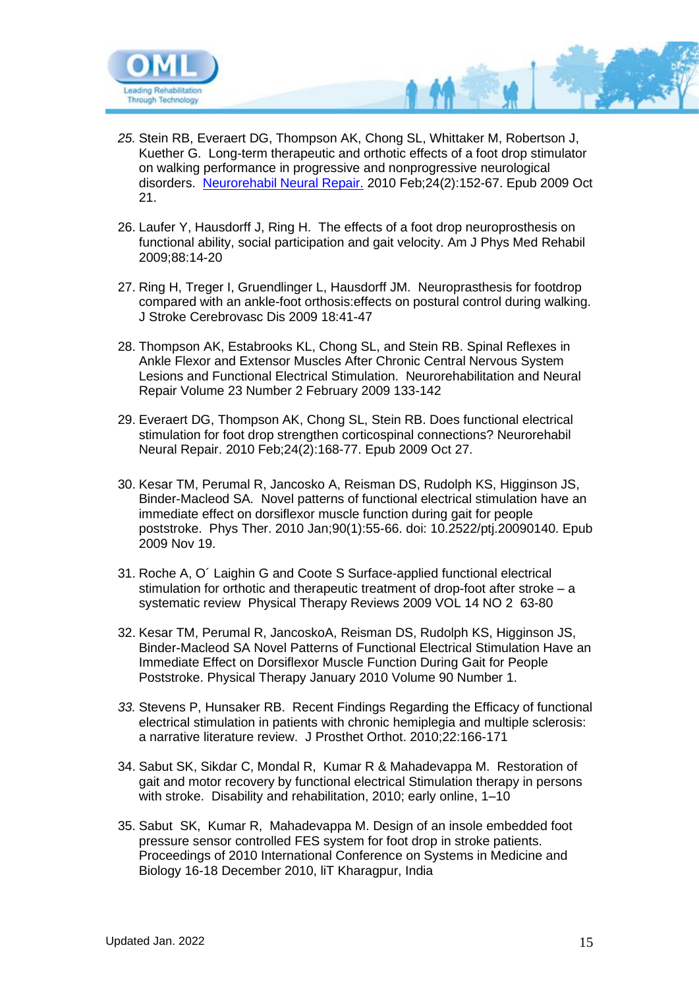

- *25.* [Stein RB,](http://www.ncbi.nlm.nih.gov/pubmed?term=%22Stein%20RB%22%5BAuthor%5D) [Everaert DG,](http://www.ncbi.nlm.nih.gov/pubmed?term=%22Everaert%20DG%22%5BAuthor%5D) [Thompson AK,](http://www.ncbi.nlm.nih.gov/pubmed?term=%22Thompson%20AK%22%5BAuthor%5D) [Chong SL,](http://www.ncbi.nlm.nih.gov/pubmed?term=%22Chong%20SL%22%5BAuthor%5D) [Whittaker M,](http://www.ncbi.nlm.nih.gov/pubmed?term=%22Whittaker%20M%22%5BAuthor%5D) [Robertson J,](http://www.ncbi.nlm.nih.gov/pubmed?term=%22Robertson%20J%22%5BAuthor%5D) [Kuether G.](http://www.ncbi.nlm.nih.gov/pubmed?term=%22Kuether%20G%22%5BAuthor%5D) Long-term therapeutic and orthotic effects of a foot drop stimulator on walking performance in progressive and nonprogressive neurological disorders. [Neurorehabil Neural Repair.](javascript:AL_get(this,%20) 2010 Feb;24(2):152-67. Epub 2009 Oct 21.
- 26. Laufer Y, Hausdorff J, Ring H. The effects of a foot drop neuroprosthesis on functional ability, social participation and gait velocity. Am J Phys Med Rehabil 2009;88:14-20
- 27. Ring H, Treger I, Gruendlinger L, Hausdorff JM. Neuroprasthesis for footdrop compared with an ankle-foot orthosis:effects on postural control during walking. J Stroke Cerebrovasc Dis 2009 18:41-47
- 28. Thompson AK, Estabrooks KL, Chong SL, and Stein RB. Spinal Reflexes in Ankle Flexor and Extensor Muscles After Chronic Central Nervous System Lesions and Functional Electrical Stimulation. Neurorehabilitation and Neural Repair Volume 23 Number 2 February 2009 133-142
- 29. [Everaert](http://www.ncbi.nlm.nih.gov/pubmed?term=%22Everaert%20DG%22%5BAuthor%5D) DG, [Thompson AK,](http://www.ncbi.nlm.nih.gov/pubmed?term=%22Thompson%20AK%22%5BAuthor%5D) [Chong SL,](http://www.ncbi.nlm.nih.gov/pubmed?term=%22Chong%20SL%22%5BAuthor%5D) [Stein RB.](http://www.ncbi.nlm.nih.gov/pubmed?term=%22Stein%20RB%22%5BAuthor%5D) Does functional electrical stimulation for foot drop strengthen corticospinal connections? [Neurorehabil](javascript:AL_get(this,%20)  [Neural Repair.](javascript:AL_get(this,%20) 2010 Feb;24(2):168-77. Epub 2009 Oct 27.
- 30. Kesar TM, Perumal R, Jancosko A, Reisman DS, Rudolph KS, Higginson JS, Binder-Macleod SA. Novel patterns of functional electrical stimulation have an immediate effect on dorsiflexor muscle function during gait for people poststroke. Phys Ther. 2010 Jan;90(1):55-66. doi: 10.2522/ptj.20090140. Epub 2009 Nov 19.
- 31. Roche A, O´ Laighin G and Coote S Surface-applied functional electrical stimulation for orthotic and therapeutic treatment of drop-foot after stroke – a systematic review Physical Therapy Reviews 2009 VOL 14 NO 2 63-80
- 32. Kesar TM, Perumal R, JancoskoA, Reisman DS, Rudolph KS, Higginson JS, Binder-Macleod SA Novel Patterns of Functional Electrical Stimulation Have an Immediate Effect on Dorsiflexor Muscle Function During Gait for People Poststroke. Physical Therapy January 2010 Volume 90 Number 1.
- *33.* Stevens P, Hunsaker RB. Recent Findings Regarding the Efficacy of functional electrical stimulation in patients with chronic hemiplegia and multiple sclerosis: a narrative literature review. J Prosthet Orthot. 2010;22:166-171
- 34. Sabut SK, Sikdar C, Mondal R, Kumar R & Mahadevappa M. Restoration of gait and motor recovery by functional electrical Stimulation therapy in persons with stroke. Disability and rehabilitation, 2010; early online, 1-10
- 35. Sabut SK, Kumar R, Mahadevappa M. Design of an insole embedded foot pressure sensor controlled FES system for foot drop in stroke patients. Proceedings of 2010 International Conference on Systems in Medicine and Biology 16-18 December 2010, liT Kharagpur, India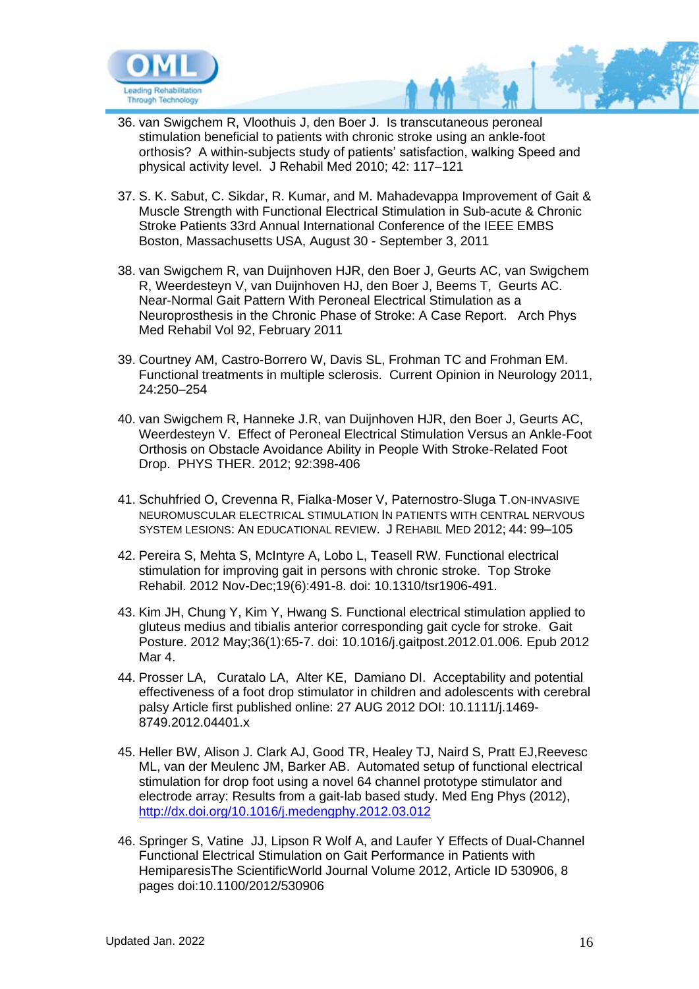

- 36. van Swigchem R, Vloothuis J, den Boer J. Is transcutaneous peroneal stimulation beneficial to patients with chronic stroke using an ankle-foot orthosis? A within-subjects study of patients' satisfaction, walking Speed and physical activity level. J Rehabil Med 2010; 42: 117–121
- 37. S. K. Sabut, C. Sikdar, R. Kumar, and M. Mahadevappa Improvement of Gait & Muscle Strength with Functional Electrical Stimulation in Sub-acute & Chronic Stroke Patients 33rd Annual International Conference of the IEEE EMBS Boston, Massachusetts USA, August 30 - September 3, 2011
- 38. van Swigchem R, van Duijnhoven HJR, den Boer J, Geurts AC, van Swigchem R, Weerdesteyn V, van Duijnhoven HJ, den Boer J, Beems T, Geurts AC. Near-Normal Gait Pattern With Peroneal Electrical Stimulation as a Neuroprosthesis in the Chronic Phase of Stroke: A Case Report. Arch Phys Med Rehabil Vol 92, February 2011
- 39. Courtney AM, Castro-Borrero W, Davis SL, Frohman TC and Frohman EM. Functional treatments in multiple sclerosis. Current Opinion in Neurology 2011, 24:250–254
- 40. van Swigchem R, Hanneke J.R, van Duijnhoven HJR, den Boer J, Geurts AC, Weerdesteyn V. Effect of Peroneal Electrical Stimulation Versus an Ankle-Foot Orthosis on Obstacle Avoidance Ability in People With Stroke-Related Foot Drop. PHYS THER. 2012; 92:398-406
- 41. Schuhfried O, Crevenna R, Fialka-Moser V, Paternostro-Sluga T.ON-INVASIVE NEUROMUSCULAR ELECTRICAL STIMULATION IN PATIENTS WITH CENTRAL NERVOUS SYSTEM LESIONS: AN EDUCATIONAL REVIEW. J REHABIL MED 2012; 44: 99–105
- 42. Pereira S, Mehta S, McIntyre A, Lobo L, Teasell RW. Functional electrical stimulation for improving gait in persons with chronic stroke. Top Stroke Rehabil. 2012 Nov-Dec;19(6):491-8. doi: 10.1310/tsr1906-491.
- 43. Kim JH, Chung Y, Kim Y, Hwang S. Functional electrical stimulation applied to gluteus medius and tibialis anterior corresponding gait cycle for stroke. Gait Posture. 2012 May;36(1):65-7. doi: 10.1016/j.gaitpost.2012.01.006. Epub 2012 Mar 4.
- 44. Prosser LA, Curatalo LA, Alter KE, Damiano DI. Acceptability and potential effectiveness of a foot drop stimulator in children and adolescents with cerebral palsy Article first published online: 27 AUG 2012 DOI: 10.1111/j.1469- 8749.2012.04401.x
- 45. Heller BW, Alison J. Clark AJ, Good TR, Healey TJ, Naird S, Pratt EJ,Reevesc ML, van der Meulenc JM, Barker AB. Automated setup of functional electrical stimulation for drop foot using a novel 64 channel prototype stimulator and electrode array: Results from a gait-lab based study. Med Eng Phys (2012), <http://dx.doi.org/10.1016/j.medengphy.2012.03.012>
- 46. Springer S, Vatine JJ, Lipson R Wolf A, and Laufer Y Effects of Dual-Channel Functional Electrical Stimulation on Gait Performance in Patients with HemiparesisThe ScientificWorld Journal Volume 2012, Article ID 530906, 8 pages doi:10.1100/2012/530906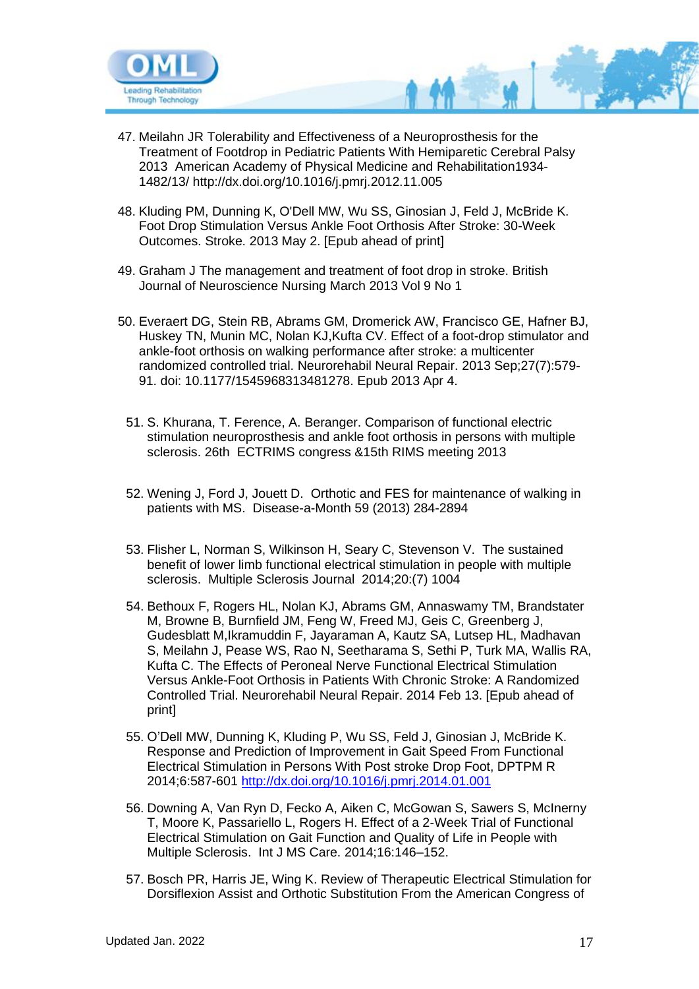

- 47. Meilahn JR Tolerability and Effectiveness of a Neuroprosthesis for the Treatment of Footdrop in Pediatric Patients With Hemiparetic Cerebral Palsy 2013 American Academy of Physical Medicine and Rehabilitation1934- 1482/13/ http://dx.doi.org/10.1016/j.pmrj.2012.11.005
- 48. Kluding PM, Dunning K, O'Dell MW, Wu SS, Ginosian J, Feld J, McBride K. Foot Drop Stimulation Versus Ankle Foot Orthosis After Stroke: 30-Week Outcomes. Stroke. 2013 May 2. [Epub ahead of print]
- 49. Graham J The management and treatment of foot drop in stroke. British Journal of Neuroscience Nursing March 2013 Vol 9 No 1
- 50. Everaert DG, Stein RB, Abrams GM, Dromerick AW, Francisco GE, Hafner BJ, Huskey TN, Munin MC, Nolan KJ,Kufta CV. Effect of a foot-drop stimulator and ankle-foot orthosis on walking performance after stroke: a multicenter randomized controlled trial. Neurorehabil Neural Repair. 2013 Sep;27(7):579- 91. doi: 10.1177/1545968313481278. Epub 2013 Apr 4.
	- 51. S. Khurana, T. Ference, A. Beranger. Comparison of functional electric stimulation neuroprosthesis and ankle foot orthosis in persons with multiple sclerosis. 26th ECTRIMS congress &15th RIMS meeting 2013
	- 52. Wening J, Ford J, Jouett D. Orthotic and FES for maintenance of walking in patients with MS. Disease-a-Month 59 (2013) 284-2894
	- 53. Flisher L, Norman S, Wilkinson H, Seary C, Stevenson V. The sustained benefit of lower limb functional electrical stimulation in people with multiple sclerosis. Multiple Sclerosis Journal 2014;20:(7) 1004
	- 54. Bethoux F, Rogers HL, Nolan KJ, Abrams GM, Annaswamy TM, Brandstater M, Browne B, Burnfield JM, Feng W, Freed MJ, Geis C, Greenberg J, Gudesblatt M,Ikramuddin F, Jayaraman A, Kautz SA, Lutsep HL, Madhavan S, Meilahn J, Pease WS, Rao N, Seetharama S, Sethi P, Turk MA, Wallis RA, Kufta C. The Effects of Peroneal Nerve Functional Electrical Stimulation Versus Ankle-Foot Orthosis in Patients With Chronic Stroke: A Randomized Controlled Trial. Neurorehabil Neural Repair. 2014 Feb 13. [Epub ahead of print]
	- 55. O'Dell MW, Dunning K, Kluding P, Wu SS, Feld J, Ginosian J, McBride K. Response and Prediction of Improvement in Gait Speed From Functional Electrical Stimulation in Persons With Post stroke Drop Foot, DPTPM R 2014;6:587-601<http://dx.doi.org/10.1016/j.pmrj.2014.01.001>
	- 56. Downing A, Van Ryn D, Fecko A, Aiken C, McGowan S, Sawers S, McInerny T, Moore K, Passariello L, Rogers H. Effect of a 2-Week Trial of Functional Electrical Stimulation on Gait Function and Quality of Life in People with Multiple Sclerosis. Int J MS Care. 2014;16:146–152.
	- 57. Bosch PR, Harris JE, Wing K. Review of Therapeutic Electrical Stimulation for Dorsiflexion Assist and Orthotic Substitution From the American Congress of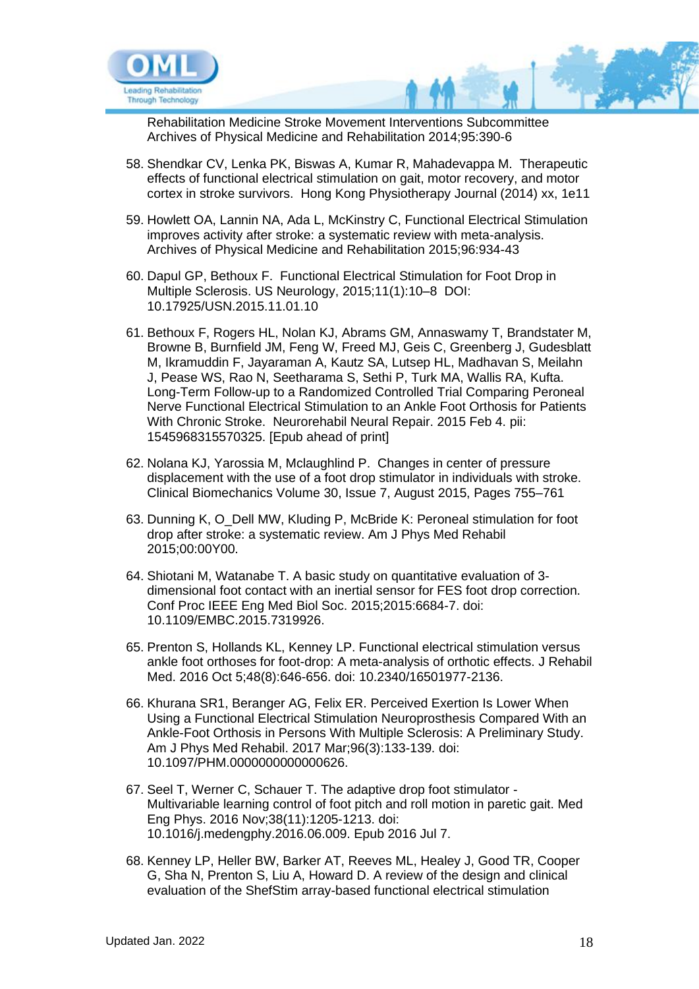

Rehabilitation Medicine Stroke Movement Interventions Subcommittee Archives of Physical Medicine and Rehabilitation 2014;95:390-6

- 58. Shendkar CV, Lenka PK, Biswas A, Kumar R, Mahadevappa M. Therapeutic effects of functional electrical stimulation on gait, motor recovery, and motor cortex in stroke survivors. Hong Kong Physiotherapy Journal (2014) xx, 1e11
- 59. Howlett OA, Lannin NA, Ada L, McKinstry C, Functional Electrical Stimulation improves activity after stroke: a systematic review with meta-analysis. Archives of Physical Medicine and Rehabilitation 2015;96:934-43
- 60. Dapul GP, Bethoux F. Functional Electrical Stimulation for Foot Drop in Multiple Sclerosis. US Neurology, 2015;11(1):10–8 DOI: 10.17925/USN.2015.11.01.10
- 61. Bethoux F, Rogers HL, Nolan KJ, Abrams GM, Annaswamy T, Brandstater M, Browne B, Burnfield JM, Feng W, Freed MJ, Geis C, Greenberg J, Gudesblatt M, Ikramuddin F, Jayaraman A, Kautz SA, Lutsep HL, Madhavan S, Meilahn J, Pease WS, Rao N, Seetharama S, Sethi P, Turk MA, Wallis RA, Kufta. Long-Term Follow-up to a Randomized Controlled Trial Comparing Peroneal Nerve Functional Electrical Stimulation to an Ankle Foot Orthosis for Patients With Chronic Stroke. Neurorehabil Neural Repair. 2015 Feb 4. pii: 1545968315570325. [Epub ahead of print]
- 62. Nolana KJ, Yarossia M, Mclaughlind P. Changes in center of pressure displacement with the use of a foot drop stimulator in individuals with stroke. Clinical Biomechanics Volume 30, Issue 7, August 2015, Pages 755–761
- 63. Dunning K, O\_Dell MW, Kluding P, McBride K: Peroneal stimulation for foot drop after stroke: a systematic review. Am J Phys Med Rehabil 2015;00:00Y00.
- 64. Shiotani M, Watanabe T. A basic study on quantitative evaluation of 3 dimensional foot contact with an inertial sensor for FES foot drop correction. Conf Proc IEEE Eng Med Biol Soc. 2015;2015:6684-7. doi: 10.1109/EMBC.2015.7319926.
- 65. Prenton S, Hollands KL, Kenney LP. Functional electrical stimulation versus ankle foot orthoses for foot-drop: A meta-analysis of orthotic effects. J Rehabil Med. 2016 Oct 5;48(8):646-656. doi: 10.2340/16501977-2136.
- 66. Khurana SR1, Beranger AG, Felix ER. Perceived Exertion Is Lower When Using a Functional Electrical Stimulation Neuroprosthesis Compared With an Ankle-Foot Orthosis in Persons With Multiple Sclerosis: A Preliminary Study. Am J Phys Med Rehabil. 2017 Mar;96(3):133-139. doi: 10.1097/PHM.0000000000000626.
- 67. Seel T, Werner C, Schauer T. The adaptive drop foot stimulator Multivariable learning control of foot pitch and roll motion in paretic gait. Med Eng Phys. 2016 Nov;38(11):1205-1213. doi: 10.1016/j.medengphy.2016.06.009. Epub 2016 Jul 7.
- 68. Kenney LP, Heller BW, Barker AT, Reeves ML, Healey J, Good TR, Cooper G, Sha N, Prenton S, Liu A, Howard D. A review of the design and clinical evaluation of the ShefStim array-based functional electrical stimulation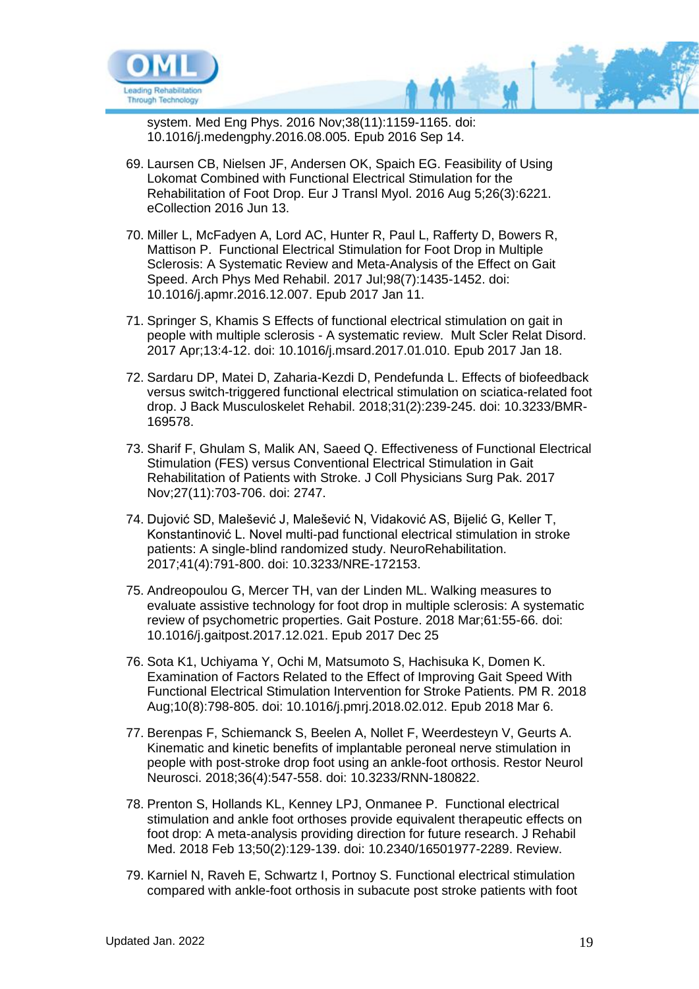

system. Med Eng Phys. 2016 Nov;38(11):1159-1165. doi: 10.1016/j.medengphy.2016.08.005. Epub 2016 Sep 14.

- 69. Laursen CB, Nielsen JF, Andersen OK, Spaich EG. Feasibility of Using Lokomat Combined with Functional Electrical Stimulation for the Rehabilitation of Foot Drop. Eur J Transl Myol. 2016 Aug 5;26(3):6221. eCollection 2016 Jun 13.
- 70. Miller L, McFadyen A, Lord AC, Hunter R, Paul L, Rafferty D, Bowers R, Mattison P. Functional Electrical Stimulation for Foot Drop in Multiple Sclerosis: A Systematic Review and Meta-Analysis of the Effect on Gait Speed. Arch Phys Med Rehabil. 2017 Jul;98(7):1435-1452. doi: 10.1016/j.apmr.2016.12.007. Epub 2017 Jan 11.
- 71. Springer S, Khamis S Effects of functional electrical stimulation on gait in people with multiple sclerosis - A systematic review. Mult Scler Relat Disord. 2017 Apr;13:4-12. doi: 10.1016/j.msard.2017.01.010. Epub 2017 Jan 18.
- 72. Sardaru DP, Matei D, Zaharia-Kezdi D, Pendefunda L. Effects of biofeedback versus switch-triggered functional electrical stimulation on sciatica-related foot drop. J Back Musculoskelet Rehabil. 2018;31(2):239-245. doi: 10.3233/BMR-169578.
- 73. Sharif F, Ghulam S, Malik AN, Saeed Q. Effectiveness of Functional Electrical Stimulation (FES) versus Conventional Electrical Stimulation in Gait Rehabilitation of Patients with Stroke. J Coll Physicians Surg Pak. 2017 Nov;27(11):703-706. doi: 2747.
- 74. Dujović SD, Malešević J, Malešević N, Vidaković AS, Bijelić G, Keller T, Konstantinović L. Novel multi-pad functional electrical stimulation in stroke patients: A single-blind randomized study. NeuroRehabilitation. 2017;41(4):791-800. doi: 10.3233/NRE-172153.
- 75. Andreopoulou G, Mercer TH, van der Linden ML. Walking measures to evaluate assistive technology for foot drop in multiple sclerosis: A systematic review of psychometric properties. Gait Posture. 2018 Mar;61:55-66. doi: 10.1016/j.gaitpost.2017.12.021. Epub 2017 Dec 25
- 76. Sota K1, Uchiyama Y, Ochi M, Matsumoto S, Hachisuka K, Domen K. Examination of Factors Related to the Effect of Improving Gait Speed With Functional Electrical Stimulation Intervention for Stroke Patients. PM R. 2018 Aug;10(8):798-805. doi: 10.1016/j.pmrj.2018.02.012. Epub 2018 Mar 6.
- 77. Berenpas F, Schiemanck S, Beelen A, Nollet F, Weerdesteyn V, Geurts A. Kinematic and kinetic benefits of implantable peroneal nerve stimulation in people with post-stroke drop foot using an ankle-foot orthosis. Restor Neurol Neurosci. 2018;36(4):547-558. doi: 10.3233/RNN-180822.
- 78. Prenton S, Hollands KL, Kenney LPJ, Onmanee P. Functional electrical stimulation and ankle foot orthoses provide equivalent therapeutic effects on foot drop: A meta-analysis providing direction for future research. J Rehabil Med. 2018 Feb 13;50(2):129-139. doi: 10.2340/16501977-2289. Review.
- 79. Karniel N, Raveh E, Schwartz I, Portnoy S. Functional electrical stimulation compared with ankle-foot orthosis in subacute post stroke patients with foot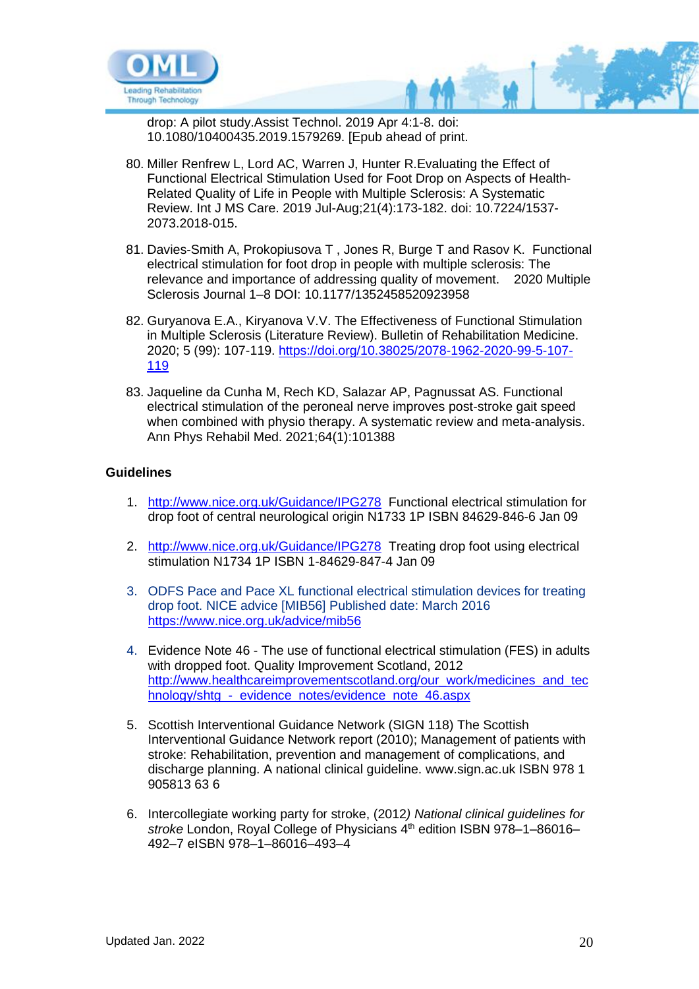

drop: A pilot study.Assist Technol. 2019 Apr 4:1-8. doi: 10.1080/10400435.2019.1579269. [Epub ahead of print.

- 80. Miller Renfrew L, Lord AC, Warren J, Hunter R.Evaluating the Effect of Functional Electrical Stimulation Used for Foot Drop on Aspects of Health-Related Quality of Life in People with Multiple Sclerosis: A Systematic Review. Int J MS Care. 2019 Jul-Aug;21(4):173-182. doi: 10.7224/1537- 2073.2018-015.
- 81. Davies-Smith A, Prokopiusova T , Jones R, Burge T and Rasov K. Functional electrical stimulation for foot drop in people with multiple sclerosis: The relevance and importance of addressing quality of movement. 2020 Multiple Sclerosis Journal 1–8 DOI: 10.1177/1352458520923958
- 82. Guryanova E.A., Kiryanova V.V. The Effectiveness of Functional Stimulation in Multiple Sclerosis (Literature Review). Bulletin of Rehabilitation Medicine. 2020; 5 (99): 107-119. [https://doi.org/10.38025/2078-1962-2020-99-5-107-](https://doi.org/10.38025/2078-1962-2020-99-5-107-119) [119](https://doi.org/10.38025/2078-1962-2020-99-5-107-119)
- 83. Jaqueline da Cunha M, Rech KD, Salazar AP, Pagnussat AS. Functional electrical stimulation of the peroneal nerve improves post-stroke gait speed when combined with physio therapy. A systematic review and meta-analysis. Ann Phys Rehabil Med. 2021;64(1):101388

#### **Guidelines**

- 1. <http://www.nice.org.uk/Guidance/IPG278>Functional electrical stimulation for drop foot of central neurological origin N1733 1P ISBN 84629-846-6 Jan 09
- 2. <http://www.nice.org.uk/Guidance/IPG278>Treating drop foot using electrical stimulation N1734 1P ISBN 1-84629-847-4 Jan 09
- 3. ODFS Pace and Pace XL functional electrical stimulation devices for treating drop foot. NICE advice [MIB56] Published date: March 2016 <https://www.nice.org.uk/advice/mib56>
- 4. Evidence Note 46 The use of functional electrical stimulation (FES) in adults with dropped foot. Quality Improvement Scotland, 2012 [http://www.healthcareimprovementscotland.org/our\\_work/medicines\\_and\\_tec](http://www.healthcareimprovementscotland.org/our_work/medicines_and_technology/shtg_-_evidence_notes/evidence_note_46.aspx) hnology/shtg - evidence notes/evidence note 46.aspx
- 5. Scottish Interventional Guidance Network (SIGN 118) The Scottish Interventional Guidance Network report (2010); Management of patients with stroke: Rehabilitation, prevention and management of complications, and discharge planning. A national clinical guideline. www.sign.ac.uk ISBN 978 1 905813 63 6
- 6. Intercollegiate working party for stroke, (2012*) National clinical guidelines for*  stroke London, Royal College of Physicians 4<sup>th</sup> edition ISBN 978-1-86016-492–7 eISBN 978–1–86016–493–4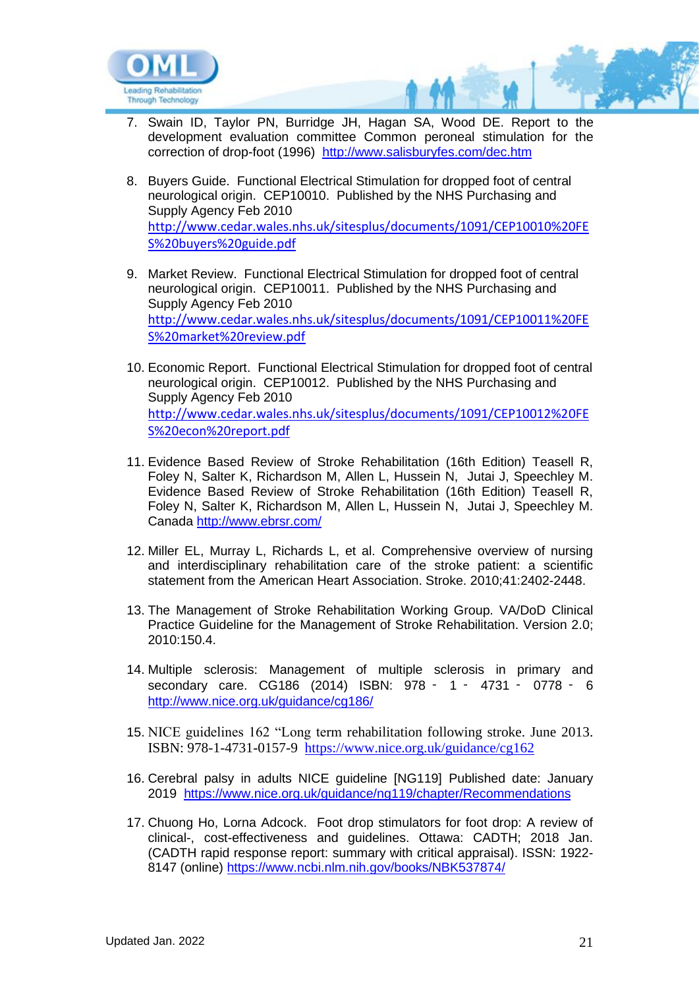

- 7. Swain ID, Taylor PN, Burridge JH, Hagan SA, Wood DE. Report to the development evaluation committee Common peroneal stimulation for the correction of drop-foot (1996) <http://www.salisburyfes.com/dec.htm>
- 8. Buyers Guide. Functional Electrical Stimulation for dropped foot of central neurological origin. CEP10010. Published by the NHS Purchasing and Supply Agency Feb 2010 [http://www.cedar.wales.nhs.uk/sitesplus/documents/1091/CEP10010%20FE](http://www.cedar.wales.nhs.uk/sitesplus/documents/1091/CEP10010%20FES%20buyers%20guide.pdf) [S%20buyers%20guide.pdf](http://www.cedar.wales.nhs.uk/sitesplus/documents/1091/CEP10010%20FES%20buyers%20guide.pdf)
- 9. Market Review. Functional Electrical Stimulation for dropped foot of central neurological origin. CEP10011. Published by the NHS Purchasing and Supply Agency Feb 2010 [http://www.cedar.wales.nhs.uk/sitesplus/documents/1091/CEP10011%20FE](http://www.cedar.wales.nhs.uk/sitesplus/documents/1091/CEP10011%20FES%20market%20review.pdf) [S%20market%20review.pdf](http://www.cedar.wales.nhs.uk/sitesplus/documents/1091/CEP10011%20FES%20market%20review.pdf)
- 10. Economic Report. Functional Electrical Stimulation for dropped foot of central neurological origin. CEP10012. Published by the NHS Purchasing and Supply Agency Feb 2010 [http://www.cedar.wales.nhs.uk/sitesplus/documents/1091/CEP10012%20FE](http://www.cedar.wales.nhs.uk/sitesplus/documents/1091/CEP10012%20FES%20econ%20report.pdf) [S%20econ%20report.pdf](http://www.cedar.wales.nhs.uk/sitesplus/documents/1091/CEP10012%20FES%20econ%20report.pdf)
- 11. Evidence Based Review of Stroke Rehabilitation (16th Edition) Teasell R, Foley N, Salter K, Richardson M, Allen L, Hussein N, Jutai J, Speechley M. Evidence Based Review of Stroke Rehabilitation (16th Edition) Teasell R, Foley N, Salter K, Richardson M, Allen L, Hussein N, Jutai J, Speechley M. Canada<http://www.ebrsr.com/>
- 12. Miller EL, Murray L, Richards L, et al. Comprehensive overview of nursing and interdisciplinary rehabilitation care of the stroke patient: a scientific statement from the American Heart Association. Stroke. 2010;41:2402-2448.
- 13. The Management of Stroke Rehabilitation Working Group. VA/DoD Clinical Practice Guideline for the Management of Stroke Rehabilitation. Version 2.0; 2010:150.4.
- 14. Multiple sclerosis: Management of multiple sclerosis in primary and secondary care. CG186 (2014) ISBN: 978 ‑ 1 ‑ 4731 ‑ 0778 ‑ 6 <http://www.nice.org.uk/guidance/cg186/>
- 15. NICE guidelines 162 "Long term rehabilitation following stroke. June 2013. ISBN: 978-1-4731-0157-9 <https://www.nice.org.uk/guidance/cg162>
- 16. Cerebral palsy in adults NICE guideline [NG119] Published date: January 2019 <https://www.nice.org.uk/guidance/ng119/chapter/Recommendations>
- 17. Chuong Ho, Lorna Adcock. Foot drop stimulators for foot drop: A review of clinical-, cost-effectiveness and guidelines. Ottawa: CADTH; 2018 Jan. (CADTH rapid response report: summary with critical appraisal). ISSN: 1922- 8147 (online) <https://www.ncbi.nlm.nih.gov/books/NBK537874/>